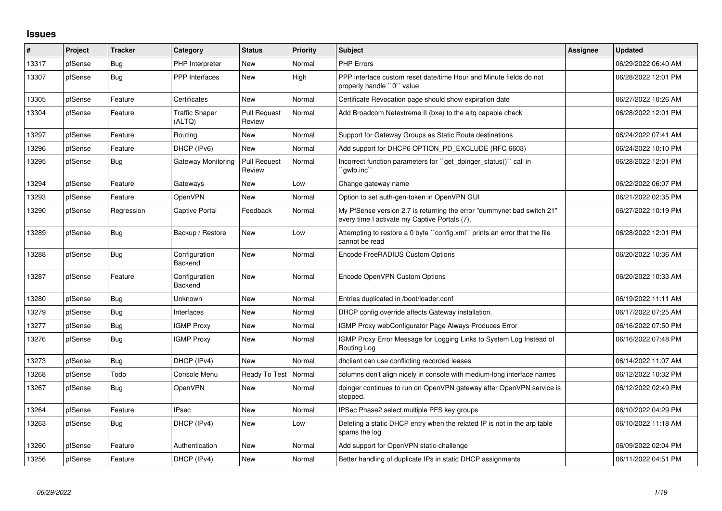## **Issues**

| #     | Project | <b>Tracker</b> | Category                        | <b>Status</b>                 | <b>Priority</b> | <b>Subject</b>                                                                                                          | Assignee | Updated             |
|-------|---------|----------------|---------------------------------|-------------------------------|-----------------|-------------------------------------------------------------------------------------------------------------------------|----------|---------------------|
| 13317 | pfSense | Bug            | PHP Interpreter                 | <b>New</b>                    | Normal          | <b>PHP Errors</b>                                                                                                       |          | 06/29/2022 06:40 AM |
| 13307 | pfSense | <b>Bug</b>     | PPP Interfaces                  | New                           | High            | PPP interface custom reset date/time Hour and Minute fields do not<br>properly handle "0" value                         |          | 06/28/2022 12:01 PM |
| 13305 | pfSense | Feature        | Certificates                    | New                           | Normal          | Certificate Revocation page should show expiration date                                                                 |          | 06/27/2022 10:26 AM |
| 13304 | pfSense | Feature        | <b>Traffic Shaper</b><br>(ALTQ) | <b>Pull Request</b><br>Review | Normal          | Add Broadcom Netextreme II (bxe) to the altg capable check                                                              |          | 06/28/2022 12:01 PM |
| 13297 | pfSense | Feature        | Routing                         | <b>New</b>                    | Normal          | Support for Gateway Groups as Static Route destinations                                                                 |          | 06/24/2022 07:41 AM |
| 13296 | pfSense | Feature        | DHCP (IPv6)                     | <b>New</b>                    | Normal          | Add support for DHCP6 OPTION_PD_EXCLUDE (RFC 6603)                                                                      |          | 06/24/2022 10:10 PM |
| 13295 | pfSense | <b>Bug</b>     | <b>Gateway Monitoring</b>       | <b>Pull Request</b><br>Review | Normal          | Incorrect function parameters for "get_dpinger_status()" call in<br>`qwlb.inc``                                         |          | 06/28/2022 12:01 PM |
| 13294 | pfSense | Feature        | Gateways                        | New                           | Low             | Change gateway name                                                                                                     |          | 06/22/2022 06:07 PM |
| 13293 | pfSense | Feature        | <b>OpenVPN</b>                  | <b>New</b>                    | Normal          | Option to set auth-gen-token in OpenVPN GUI                                                                             |          | 06/21/2022 02:35 PM |
| 13290 | pfSense | Regression     | <b>Captive Portal</b>           | Feedback                      | Normal          | My PfSense version 2.7 is returning the error "dummynet bad switch 21"<br>every time I activate my Captive Portals (7). |          | 06/27/2022 10:19 PM |
| 13289 | pfSense | Bug            | Backup / Restore                | <b>New</b>                    | Low             | Attempting to restore a 0 byte "config.xml" prints an error that the file<br>cannot be read                             |          | 06/28/2022 12:01 PM |
| 13288 | pfSense | <b>Bug</b>     | Configuration<br>Backend        | <b>New</b>                    | Normal          | Encode FreeRADIUS Custom Options                                                                                        |          | 06/20/2022 10:36 AM |
| 13287 | pfSense | Feature        | Configuration<br>Backend        | New                           | Normal          | Encode OpenVPN Custom Options                                                                                           |          | 06/20/2022 10:33 AM |
| 13280 | pfSense | Bug            | Unknown                         | <b>New</b>                    | Normal          | Entries duplicated in /boot/loader.conf                                                                                 |          | 06/19/2022 11:11 AM |
| 13279 | pfSense | <b>Bug</b>     | Interfaces                      | <b>New</b>                    | Normal          | DHCP config override affects Gateway installation.                                                                      |          | 06/17/2022 07:25 AM |
| 13277 | pfSense | Bug            | <b>IGMP Proxy</b>               | New                           | Normal          | IGMP Proxy webConfigurator Page Always Produces Error                                                                   |          | 06/16/2022 07:50 PM |
| 13276 | pfSense | Bug            | <b>IGMP Proxy</b>               | New                           | Normal          | IGMP Proxy Error Message for Logging Links to System Log Instead of<br>Routing Log                                      |          | 06/16/2022 07:48 PM |
| 13273 | pfSense | Bug            | DHCP (IPv4)                     | <b>New</b>                    | Normal          | dhclient can use conflicting recorded leases                                                                            |          | 06/14/2022 11:07 AM |
| 13268 | pfSense | Todo           | Console Menu                    | Ready To Test                 | Normal          | columns don't align nicely in console with medium-long interface names                                                  |          | 06/12/2022 10:32 PM |
| 13267 | pfSense | <b>Bug</b>     | OpenVPN                         | New                           | Normal          | dpinger continues to run on OpenVPN gateway after OpenVPN service is<br>stopped.                                        |          | 06/12/2022 02:49 PM |
| 13264 | pfSense | Feature        | <b>IPsec</b>                    | <b>New</b>                    | Normal          | IPSec Phase2 select multiple PFS key groups                                                                             |          | 06/10/2022 04:29 PM |
| 13263 | pfSense | <b>Bug</b>     | DHCP (IPv4)                     | New                           | Low             | Deleting a static DHCP entry when the related IP is not in the arp table<br>spams the log                               |          | 06/10/2022 11:18 AM |
| 13260 | pfSense | Feature        | Authentication                  | <b>New</b>                    | Normal          | Add support for OpenVPN static-challenge                                                                                |          | 06/09/2022 02:04 PM |
| 13256 | pfSense | Feature        | DHCP (IPv4)                     | <b>New</b>                    | Normal          | Better handling of duplicate IPs in static DHCP assignments                                                             |          | 06/11/2022 04:51 PM |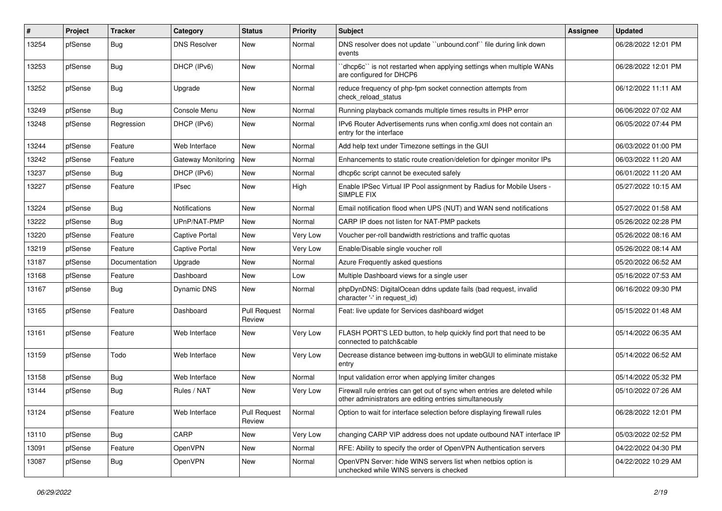| #     | Project | <b>Tracker</b> | Category                  | <b>Status</b>                 | <b>Priority</b> | <b>Subject</b>                                                                                                                      | <b>Assignee</b> | <b>Updated</b>      |
|-------|---------|----------------|---------------------------|-------------------------------|-----------------|-------------------------------------------------------------------------------------------------------------------------------------|-----------------|---------------------|
| 13254 | pfSense | Bug            | <b>DNS Resolver</b>       | New                           | Normal          | DNS resolver does not update "unbound.conf" file during link down<br>events                                                         |                 | 06/28/2022 12:01 PM |
| 13253 | pfSense | Bug            | DHCP (IPv6)               | New                           | Normal          | dhcp6c" is not restarted when applying settings when multiple WANs<br>are configured for DHCP6                                      |                 | 06/28/2022 12:01 PM |
| 13252 | pfSense | Bug            | Upgrade                   | New                           | Normal          | reduce frequency of php-fpm socket connection attempts from<br>check reload status                                                  |                 | 06/12/2022 11:11 AM |
| 13249 | pfSense | Bug            | Console Menu              | New                           | Normal          | Running playback comands multiple times results in PHP error                                                                        |                 | 06/06/2022 07:02 AM |
| 13248 | pfSense | Regression     | DHCP (IPv6)               | New                           | Normal          | IPv6 Router Advertisements runs when config.xml does not contain an<br>entry for the interface                                      |                 | 06/05/2022 07:44 PM |
| 13244 | pfSense | Feature        | Web Interface             | New                           | Normal          | Add help text under Timezone settings in the GUI                                                                                    |                 | 06/03/2022 01:00 PM |
| 13242 | pfSense | Feature        | <b>Gateway Monitoring</b> | New                           | Normal          | Enhancements to static route creation/deletion for dpinger monitor IPs                                                              |                 | 06/03/2022 11:20 AM |
| 13237 | pfSense | Bug            | DHCP (IPv6)               | New                           | Normal          | dhcp6c script cannot be executed safely                                                                                             |                 | 06/01/2022 11:20 AM |
| 13227 | pfSense | Feature        | <b>IPsec</b>              | New                           | High            | Enable IPSec Virtual IP Pool assignment by Radius for Mobile Users -<br>SIMPLE FIX                                                  |                 | 05/27/2022 10:15 AM |
| 13224 | pfSense | Bug            | Notifications             | New                           | Normal          | Email notification flood when UPS (NUT) and WAN send notifications                                                                  |                 | 05/27/2022 01:58 AM |
| 13222 | pfSense | Bug            | UPnP/NAT-PMP              | New                           | Normal          | CARP IP does not listen for NAT-PMP packets                                                                                         |                 | 05/26/2022 02:28 PM |
| 13220 | pfSense | Feature        | <b>Captive Portal</b>     | New                           | Very Low        | Voucher per-roll bandwidth restrictions and traffic quotas                                                                          |                 | 05/26/2022 08:16 AM |
| 13219 | pfSense | Feature        | <b>Captive Portal</b>     | New                           | Very Low        | Enable/Disable single voucher roll                                                                                                  |                 | 05/26/2022 08:14 AM |
| 13187 | pfSense | Documentation  | Upgrade                   | New                           | Normal          | Azure Frequently asked questions                                                                                                    |                 | 05/20/2022 06:52 AM |
| 13168 | pfSense | Feature        | Dashboard                 | New                           | Low             | Multiple Dashboard views for a single user                                                                                          |                 | 05/16/2022 07:53 AM |
| 13167 | pfSense | Bug            | Dynamic DNS               | New                           | Normal          | phpDynDNS: DigitalOcean ddns update fails (bad request, invalid<br>character '-' in request id)                                     |                 | 06/16/2022 09:30 PM |
| 13165 | pfSense | Feature        | Dashboard                 | <b>Pull Request</b><br>Review | Normal          | Feat: live update for Services dashboard widget                                                                                     |                 | 05/15/2022 01:48 AM |
| 13161 | pfSense | Feature        | Web Interface             | New                           | Very Low        | FLASH PORT'S LED button, to help quickly find port that need to be<br>connected to patch&cable                                      |                 | 05/14/2022 06:35 AM |
| 13159 | pfSense | Todo           | Web Interface             | New                           | Very Low        | Decrease distance between img-buttons in webGUI to eliminate mistake<br>entry                                                       |                 | 05/14/2022 06:52 AM |
| 13158 | pfSense | Bug            | Web Interface             | New                           | Normal          | Input validation error when applying limiter changes                                                                                |                 | 05/14/2022 05:32 PM |
| 13144 | pfSense | <b>Bug</b>     | Rules / NAT               | New                           | Very Low        | Firewall rule entries can get out of sync when entries are deleted while<br>other administrators are editing entries simultaneously |                 | 05/10/2022 07:26 AM |
| 13124 | pfSense | Feature        | Web Interface             | <b>Pull Request</b><br>Review | Normal          | Option to wait for interface selection before displaying firewall rules                                                             |                 | 06/28/2022 12:01 PM |
| 13110 | pfSense | Bug            | CARP                      | New                           | Very Low        | changing CARP VIP address does not update outbound NAT interface IP                                                                 |                 | 05/03/2022 02:52 PM |
| 13091 | pfSense | Feature        | OpenVPN                   | New                           | Normal          | RFE: Ability to specify the order of OpenVPN Authentication servers                                                                 |                 | 04/22/2022 04:30 PM |
| 13087 | pfSense | Bug            | OpenVPN                   | New                           | Normal          | OpenVPN Server: hide WINS servers list when netbios option is<br>unchecked while WINS servers is checked                            |                 | 04/22/2022 10:29 AM |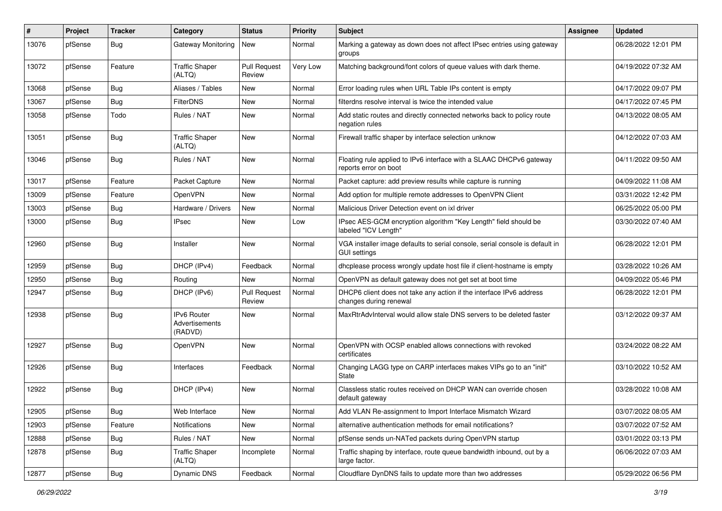| #     | Project | <b>Tracker</b> | Category                                        | <b>Status</b>                 | <b>Priority</b> | <b>Subject</b>                                                                                      | Assignee | <b>Updated</b>      |
|-------|---------|----------------|-------------------------------------------------|-------------------------------|-----------------|-----------------------------------------------------------------------------------------------------|----------|---------------------|
| 13076 | pfSense | <b>Bug</b>     | Gateway Monitoring                              | New                           | Normal          | Marking a gateway as down does not affect IPsec entries using gateway<br>groups                     |          | 06/28/2022 12:01 PM |
| 13072 | pfSense | Feature        | <b>Traffic Shaper</b><br>(ALTQ)                 | <b>Pull Request</b><br>Review | Very Low        | Matching background/font colors of queue values with dark theme.                                    |          | 04/19/2022 07:32 AM |
| 13068 | pfSense | Bug            | Aliases / Tables                                | <b>New</b>                    | Normal          | Error loading rules when URL Table IPs content is empty                                             |          | 04/17/2022 09:07 PM |
| 13067 | pfSense | <b>Bug</b>     | <b>FilterDNS</b>                                | <b>New</b>                    | Normal          | filterdns resolve interval is twice the intended value                                              |          | 04/17/2022 07:45 PM |
| 13058 | pfSense | Todo           | Rules / NAT                                     | New                           | Normal          | Add static routes and directly connected networks back to policy route<br>negation rules            |          | 04/13/2022 08:05 AM |
| 13051 | pfSense | Bug            | <b>Traffic Shaper</b><br>(ALTQ)                 | <b>New</b>                    | Normal          | Firewall traffic shaper by interface selection unknow                                               |          | 04/12/2022 07:03 AM |
| 13046 | pfSense | Bug            | Rules / NAT                                     | <b>New</b>                    | Normal          | Floating rule applied to IPv6 interface with a SLAAC DHCPv6 gateway<br>reports error on boot        |          | 04/11/2022 09:50 AM |
| 13017 | pfSense | Feature        | Packet Capture                                  | <b>New</b>                    | Normal          | Packet capture: add preview results while capture is running                                        |          | 04/09/2022 11:08 AM |
| 13009 | pfSense | Feature        | OpenVPN                                         | New                           | Normal          | Add option for multiple remote addresses to OpenVPN Client                                          |          | 03/31/2022 12:42 PM |
| 13003 | pfSense | Bug            | Hardware / Drivers                              | New                           | Normal          | Malicious Driver Detection event on ixl driver                                                      |          | 06/25/2022 05:00 PM |
| 13000 | pfSense | <b>Bug</b>     | <b>IPsec</b>                                    | <b>New</b>                    | Low             | IPsec AES-GCM encryption algorithm "Key Length" field should be<br>labeled "ICV Length"             |          | 03/30/2022 07:40 AM |
| 12960 | pfSense | Bug            | Installer                                       | <b>New</b>                    | Normal          | VGA installer image defaults to serial console, serial console is default in<br><b>GUI settings</b> |          | 06/28/2022 12:01 PM |
| 12959 | pfSense | Bug            | DHCP (IPv4)                                     | Feedback                      | Normal          | dhcplease process wrongly update host file if client-hostname is empty                              |          | 03/28/2022 10:26 AM |
| 12950 | pfSense | <b>Bug</b>     | Routing                                         | New                           | Normal          | OpenVPN as default gateway does not get set at boot time                                            |          | 04/09/2022 05:46 PM |
| 12947 | pfSense | <b>Bug</b>     | DHCP (IPv6)                                     | <b>Pull Request</b><br>Review | Normal          | DHCP6 client does not take any action if the interface IPv6 address<br>changes during renewal       |          | 06/28/2022 12:01 PM |
| 12938 | pfSense | <b>Bug</b>     | <b>IPv6 Router</b><br>Advertisements<br>(RADVD) | New                           | Normal          | MaxRtrAdvInterval would allow stale DNS servers to be deleted faster                                |          | 03/12/2022 09:37 AM |
| 12927 | pfSense | <b>Bug</b>     | OpenVPN                                         | <b>New</b>                    | Normal          | OpenVPN with OCSP enabled allows connections with revoked<br>certificates                           |          | 03/24/2022 08:22 AM |
| 12926 | pfSense | <b>Bug</b>     | Interfaces                                      | Feedback                      | Normal          | Changing LAGG type on CARP interfaces makes VIPs go to an "init"<br>State                           |          | 03/10/2022 10:52 AM |
| 12922 | pfSense | <b>Bug</b>     | DHCP (IPv4)                                     | <b>New</b>                    | Normal          | Classless static routes received on DHCP WAN can override chosen<br>default gateway                 |          | 03/28/2022 10:08 AM |
| 12905 | pfSense | Bug            | Web Interface                                   | New                           | Normal          | Add VLAN Re-assignment to Import Interface Mismatch Wizard                                          |          | 03/07/2022 08:05 AM |
| 12903 | pfSense | Feature        | Notifications                                   | New                           | Normal          | alternative authentication methods for email notifications?                                         |          | 03/07/2022 07:52 AM |
| 12888 | pfSense | Bug            | Rules / NAT                                     | New                           | Normal          | pfSense sends un-NATed packets during OpenVPN startup                                               |          | 03/01/2022 03:13 PM |
| 12878 | pfSense | Bug            | <b>Traffic Shaper</b><br>(ALTQ)                 | Incomplete                    | Normal          | Traffic shaping by interface, route queue bandwidth inbound, out by a<br>large factor.              |          | 06/06/2022 07:03 AM |
| 12877 | pfSense | Bug            | Dynamic DNS                                     | Feedback                      | Normal          | Cloudflare DynDNS fails to update more than two addresses                                           |          | 05/29/2022 06:56 PM |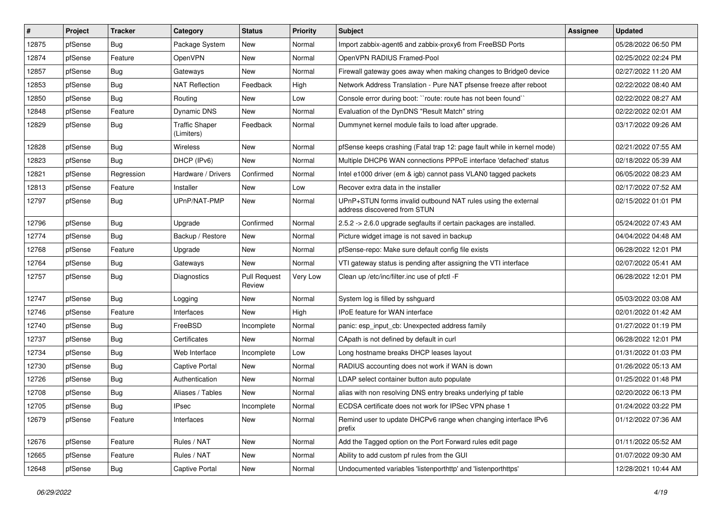| $\vert$ # | Project | <b>Tracker</b> | Category                            | <b>Status</b>                 | Priority | <b>Subject</b>                                                                                | Assignee | <b>Updated</b>      |
|-----------|---------|----------------|-------------------------------------|-------------------------------|----------|-----------------------------------------------------------------------------------------------|----------|---------------------|
| 12875     | pfSense | <b>Bug</b>     | Package System                      | New                           | Normal   | Import zabbix-agent6 and zabbix-proxy6 from FreeBSD Ports                                     |          | 05/28/2022 06:50 PM |
| 12874     | pfSense | Feature        | OpenVPN                             | New                           | Normal   | OpenVPN RADIUS Framed-Pool                                                                    |          | 02/25/2022 02:24 PM |
| 12857     | pfSense | <b>Bug</b>     | Gateways                            | New                           | Normal   | Firewall gateway goes away when making changes to Bridge0 device                              |          | 02/27/2022 11:20 AM |
| 12853     | pfSense | <b>Bug</b>     | <b>NAT Reflection</b>               | Feedback                      | High     | Network Address Translation - Pure NAT pfsense freeze after reboot                            |          | 02/22/2022 08:40 AM |
| 12850     | pfSense | Bug            | Routing                             | New                           | Low      | Console error during boot: "route: route has not been found"                                  |          | 02/22/2022 08:27 AM |
| 12848     | pfSense | Feature        | Dynamic DNS                         | New                           | Normal   | Evaluation of the DynDNS "Result Match" string                                                |          | 02/22/2022 02:01 AM |
| 12829     | pfSense | <b>Bug</b>     | <b>Traffic Shaper</b><br>(Limiters) | Feedback                      | Normal   | Dummynet kernel module fails to load after upgrade.                                           |          | 03/17/2022 09:26 AM |
| 12828     | pfSense | Bug            | <b>Wireless</b>                     | New                           | Normal   | pfSense keeps crashing (Fatal trap 12: page fault while in kernel mode)                       |          | 02/21/2022 07:55 AM |
| 12823     | pfSense | Bug            | DHCP (IPv6)                         | <b>New</b>                    | Normal   | Multiple DHCP6 WAN connections PPPoE interface 'defached' status                              |          | 02/18/2022 05:39 AM |
| 12821     | pfSense | Regression     | Hardware / Drivers                  | Confirmed                     | Normal   | Intel e1000 driver (em & igb) cannot pass VLAN0 tagged packets                                |          | 06/05/2022 08:23 AM |
| 12813     | pfSense | Feature        | Installer                           | New                           | Low      | Recover extra data in the installer                                                           |          | 02/17/2022 07:52 AM |
| 12797     | pfSense | Bug            | UPnP/NAT-PMP                        | New                           | Normal   | UPnP+STUN forms invalid outbound NAT rules using the external<br>address discovered from STUN |          | 02/15/2022 01:01 PM |
| 12796     | pfSense | Bug            | Upgrade                             | Confirmed                     | Normal   | 2.5.2 -> 2.6.0 upgrade segfaults if certain packages are installed.                           |          | 05/24/2022 07:43 AM |
| 12774     | pfSense | Bug            | Backup / Restore                    | New                           | Normal   | Picture widget image is not saved in backup                                                   |          | 04/04/2022 04:48 AM |
| 12768     | pfSense | Feature        | Upgrade                             | New                           | Normal   | pfSense-repo: Make sure default config file exists                                            |          | 06/28/2022 12:01 PM |
| 12764     | pfSense | Bug            | Gateways                            | New                           | Normal   | VTI gateway status is pending after assigning the VTI interface                               |          | 02/07/2022 05:41 AM |
| 12757     | pfSense | <b>Bug</b>     | Diagnostics                         | <b>Pull Request</b><br>Review | Very Low | Clean up /etc/inc/filter.inc use of pfctl -F                                                  |          | 06/28/2022 12:01 PM |
| 12747     | pfSense | Bug            | Logging                             | New                           | Normal   | System log is filled by sshguard                                                              |          | 05/03/2022 03:08 AM |
| 12746     | pfSense | Feature        | Interfaces                          | New                           | High     | IPoE feature for WAN interface                                                                |          | 02/01/2022 01:42 AM |
| 12740     | pfSense | Bug            | FreeBSD                             | Incomplete                    | Normal   | panic: esp input cb: Unexpected address family                                                |          | 01/27/2022 01:19 PM |
| 12737     | pfSense | <b>Bug</b>     | Certificates                        | New                           | Normal   | CApath is not defined by default in curl                                                      |          | 06/28/2022 12:01 PM |
| 12734     | pfSense | Bug            | Web Interface                       | Incomplete                    | Low      | Long hostname breaks DHCP leases layout                                                       |          | 01/31/2022 01:03 PM |
| 12730     | pfSense | Bug            | <b>Captive Portal</b>               | New                           | Normal   | RADIUS accounting does not work if WAN is down                                                |          | 01/26/2022 05:13 AM |
| 12726     | pfSense | <b>Bug</b>     | Authentication                      | New                           | Normal   | LDAP select container button auto populate                                                    |          | 01/25/2022 01:48 PM |
| 12708     | pfSense | <b>Bug</b>     | Aliases / Tables                    | New                           | Normal   | alias with non resolving DNS entry breaks underlying pf table                                 |          | 02/20/2022 06:13 PM |
| 12705     | pfSense | Bug            | <b>IPsec</b>                        | Incomplete                    | Normal   | ECDSA certificate does not work for IPSec VPN phase 1                                         |          | 01/24/2022 03:22 PM |
| 12679     | pfSense | Feature        | Interfaces                          | New                           | Normal   | Remind user to update DHCPv6 range when changing interface IPv6<br>prefix                     |          | 01/12/2022 07:36 AM |
| 12676     | pfSense | Feature        | Rules / NAT                         | New                           | Normal   | Add the Tagged option on the Port Forward rules edit page                                     |          | 01/11/2022 05:52 AM |
| 12665     | pfSense | Feature        | Rules / NAT                         | New                           | Normal   | Ability to add custom pf rules from the GUI                                                   |          | 01/07/2022 09:30 AM |
| 12648     | pfSense | <b>Bug</b>     | Captive Portal                      | New                           | Normal   | Undocumented variables 'listenporthttp' and 'listenporthttps'                                 |          | 12/28/2021 10:44 AM |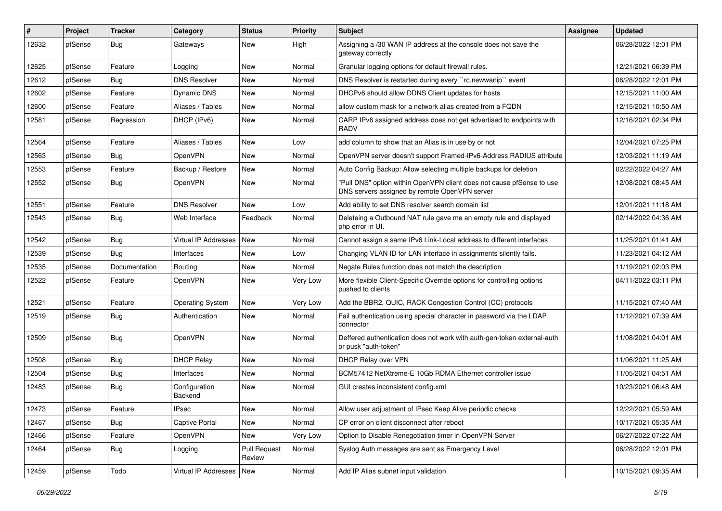| #     | Project | <b>Tracker</b> | Category                   | <b>Status</b>                 | <b>Priority</b> | <b>Subject</b>                                                                                                         | <b>Assignee</b> | <b>Updated</b>      |
|-------|---------|----------------|----------------------------|-------------------------------|-----------------|------------------------------------------------------------------------------------------------------------------------|-----------------|---------------------|
| 12632 | pfSense | Bug            | Gateways                   | New                           | High            | Assigning a /30 WAN IP address at the console does not save the<br>gateway correctly                                   |                 | 06/28/2022 12:01 PM |
| 12625 | pfSense | Feature        | Logging                    | New                           | Normal          | Granular logging options for default firewall rules.                                                                   |                 | 12/21/2021 06:39 PM |
| 12612 | pfSense | Bug            | <b>DNS Resolver</b>        | New                           | Normal          | DNS Resolver is restarted during every "rc.newwanip" event                                                             |                 | 06/28/2022 12:01 PM |
| 12602 | pfSense | Feature        | Dynamic DNS                | New                           | Normal          | DHCPv6 should allow DDNS Client updates for hosts                                                                      |                 | 12/15/2021 11:00 AM |
| 12600 | pfSense | Feature        | Aliases / Tables           | New                           | Normal          | allow custom mask for a network alias created from a FQDN                                                              |                 | 12/15/2021 10:50 AM |
| 12581 | pfSense | Regression     | DHCP (IPv6)                | New                           | Normal          | CARP IPv6 assigned address does not get advertised to endpoints with<br><b>RADV</b>                                    |                 | 12/16/2021 02:34 PM |
| 12564 | pfSense | Feature        | Aliases / Tables           | New                           | Low             | add column to show that an Alias is in use by or not                                                                   |                 | 12/04/2021 07:25 PM |
| 12563 | pfSense | <b>Bug</b>     | <b>OpenVPN</b>             | <b>New</b>                    | Normal          | OpenVPN server doesn't support Framed-IPv6-Address RADIUS attribute                                                    |                 | 12/03/2021 11:19 AM |
| 12553 | pfSense | Feature        | Backup / Restore           | New                           | Normal          | Auto Config Backup: Allow selecting multiple backups for deletion                                                      |                 | 02/22/2022 04:27 AM |
| 12552 | pfSense | <b>Bug</b>     | OpenVPN                    | New                           | Normal          | "Pull DNS" option within OpenVPN client does not cause pfSense to use<br>DNS servers assigned by remote OpenVPN server |                 | 12/08/2021 08:45 AM |
| 12551 | pfSense | Feature        | <b>DNS Resolver</b>        | <b>New</b>                    | Low             | Add ability to set DNS resolver search domain list                                                                     |                 | 12/01/2021 11:18 AM |
| 12543 | pfSense | <b>Bug</b>     | Web Interface              | Feedback                      | Normal          | Deleteing a Outbound NAT rule gave me an empty rule and displayed<br>php error in UI.                                  |                 | 02/14/2022 04:36 AM |
| 12542 | pfSense | Bug            | Virtual IP Addresses       | New                           | Normal          | Cannot assign a same IPv6 Link-Local address to different interfaces                                                   |                 | 11/25/2021 01:41 AM |
| 12539 | pfSense | Bug            | Interfaces                 | <b>New</b>                    | Low             | Changing VLAN ID for LAN interface in assignments silently fails.                                                      |                 | 11/23/2021 04:12 AM |
| 12535 | pfSense | Documentation  | Routing                    | New                           | Normal          | Negate Rules function does not match the description                                                                   |                 | 11/19/2021 02:03 PM |
| 12522 | pfSense | Feature        | OpenVPN                    | New                           | Very Low        | More flexible Client-Specific Override options for controlling options<br>pushed to clients                            |                 | 04/11/2022 03:11 PM |
| 12521 | pfSense | Feature        | <b>Operating System</b>    | New                           | Very Low        | Add the BBR2, QUIC, RACK Congestion Control (CC) protocols                                                             |                 | 11/15/2021 07:40 AM |
| 12519 | pfSense | <b>Bug</b>     | Authentication             | New                           | Normal          | Fail authentication using special character in password via the LDAP<br>connector                                      |                 | 11/12/2021 07:39 AM |
| 12509 | pfSense | Bug            | OpenVPN                    | New                           | Normal          | Deffered authentication does not work with auth-gen-token external-auth<br>or pusk "auth-token"                        |                 | 11/08/2021 04:01 AM |
| 12508 | pfSense | <b>Bug</b>     | <b>DHCP Relay</b>          | New                           | Normal          | DHCP Relay over VPN                                                                                                    |                 | 11/06/2021 11:25 AM |
| 12504 | pfSense | Bug            | Interfaces                 | New                           | Normal          | BCM57412 NetXtreme-E 10Gb RDMA Ethernet controller issue                                                               |                 | 11/05/2021 04:51 AM |
| 12483 | pfSense | <b>Bug</b>     | Configuration<br>Backend   | New                           | Normal          | GUI creates inconsistent config.xml                                                                                    |                 | 10/23/2021 06:48 AM |
| 12473 | pfSense | Feature        | IPsec                      | New                           | Normal          | Allow user adjustment of IPsec Keep Alive periodic checks                                                              |                 | 12/22/2021 05:59 AM |
| 12467 | pfSense | Bug            | Captive Portal             | New                           | Normal          | CP error on client disconnect after reboot                                                                             |                 | 10/17/2021 05:35 AM |
| 12466 | pfSense | Feature        | OpenVPN                    | New                           | Very Low        | Option to Disable Renegotiation timer in OpenVPN Server                                                                |                 | 06/27/2022 07:22 AM |
| 12464 | pfSense | <b>Bug</b>     | Logging                    | <b>Pull Request</b><br>Review | Normal          | Syslog Auth messages are sent as Emergency Level                                                                       |                 | 06/28/2022 12:01 PM |
| 12459 | pfSense | Todo           | Virtual IP Addresses   New |                               | Normal          | Add IP Alias subnet input validation                                                                                   |                 | 10/15/2021 09:35 AM |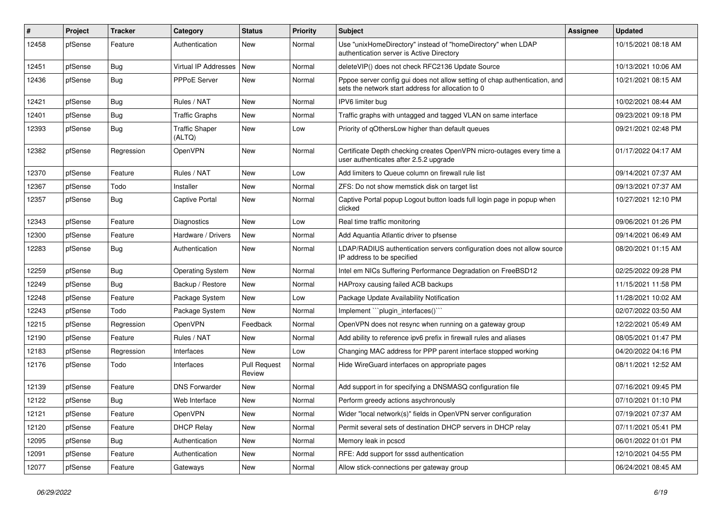| #     | Project | <b>Tracker</b> | Category                        | <b>Status</b>                 | <b>Priority</b> | <b>Subject</b>                                                                                                                   | <b>Assignee</b> | <b>Updated</b>      |
|-------|---------|----------------|---------------------------------|-------------------------------|-----------------|----------------------------------------------------------------------------------------------------------------------------------|-----------------|---------------------|
| 12458 | pfSense | Feature        | Authentication                  | New                           | Normal          | Use "unixHomeDirectory" instead of "homeDirectory" when LDAP<br>authentication server is Active Directory                        |                 | 10/15/2021 08:18 AM |
| 12451 | pfSense | Bug            | Virtual IP Addresses            | New                           | Normal          | deleteVIP() does not check RFC2136 Update Source                                                                                 |                 | 10/13/2021 10:06 AM |
| 12436 | pfSense | <b>Bug</b>     | <b>PPPoE Server</b>             | New                           | Normal          | Pppoe server config gui does not allow setting of chap authentication, and<br>sets the network start address for allocation to 0 |                 | 10/21/2021 08:15 AM |
| 12421 | pfSense | Bug            | Rules / NAT                     | <b>New</b>                    | Normal          | IPV6 limiter bug                                                                                                                 |                 | 10/02/2021 08:44 AM |
| 12401 | pfSense | Bug            | <b>Traffic Graphs</b>           | New                           | Normal          | Traffic graphs with untagged and tagged VLAN on same interface                                                                   |                 | 09/23/2021 09:18 PM |
| 12393 | pfSense | Bug            | <b>Traffic Shaper</b><br>(ALTQ) | <b>New</b>                    | Low             | Priority of qOthersLow higher than default queues                                                                                |                 | 09/21/2021 02:48 PM |
| 12382 | pfSense | Regression     | OpenVPN                         | <b>New</b>                    | Normal          | Certificate Depth checking creates OpenVPN micro-outages every time a<br>user authenticates after 2.5.2 upgrade                  |                 | 01/17/2022 04:17 AM |
| 12370 | pfSense | Feature        | Rules / NAT                     | <b>New</b>                    | Low             | Add limiters to Queue column on firewall rule list                                                                               |                 | 09/14/2021 07:37 AM |
| 12367 | pfSense | Todo           | Installer                       | <b>New</b>                    | Normal          | ZFS: Do not show memstick disk on target list                                                                                    |                 | 09/13/2021 07:37 AM |
| 12357 | pfSense | Bug            | <b>Captive Portal</b>           | New                           | Normal          | Captive Portal popup Logout button loads full login page in popup when<br>clicked                                                |                 | 10/27/2021 12:10 PM |
| 12343 | pfSense | Feature        | Diagnostics                     | <b>New</b>                    | Low             | Real time traffic monitoring                                                                                                     |                 | 09/06/2021 01:26 PM |
| 12300 | pfSense | Feature        | Hardware / Drivers              | New                           | Normal          | Add Aquantia Atlantic driver to pfsense                                                                                          |                 | 09/14/2021 06:49 AM |
| 12283 | pfSense | Bug            | Authentication                  | New                           | Normal          | LDAP/RADIUS authentication servers configuration does not allow source<br>IP address to be specified                             |                 | 08/20/2021 01:15 AM |
| 12259 | pfSense | Bug            | <b>Operating System</b>         | <b>New</b>                    | Normal          | Intel em NICs Suffering Performance Degradation on FreeBSD12                                                                     |                 | 02/25/2022 09:28 PM |
| 12249 | pfSense | Bug            | Backup / Restore                | <b>New</b>                    | Normal          | HAProxy causing failed ACB backups                                                                                               |                 | 11/15/2021 11:58 PM |
| 12248 | pfSense | Feature        | Package System                  | New                           | Low             | Package Update Availability Notification                                                                                         |                 | 11/28/2021 10:02 AM |
| 12243 | pfSense | Todo           | Package System                  | New                           | Normal          | Implement "``plugin_interfaces()```                                                                                              |                 | 02/07/2022 03:50 AM |
| 12215 | pfSense | Regression     | OpenVPN                         | Feedback                      | Normal          | OpenVPN does not resync when running on a gateway group                                                                          |                 | 12/22/2021 05:49 AM |
| 12190 | pfSense | Feature        | Rules / NAT                     | New                           | Normal          | Add ability to reference ipv6 prefix in firewall rules and aliases                                                               |                 | 08/05/2021 01:47 PM |
| 12183 | pfSense | Regression     | Interfaces                      | New                           | Low             | Changing MAC address for PPP parent interface stopped working                                                                    |                 | 04/20/2022 04:16 PM |
| 12176 | pfSense | Todo           | Interfaces                      | <b>Pull Request</b><br>Review | Normal          | Hide WireGuard interfaces on appropriate pages                                                                                   |                 | 08/11/2021 12:52 AM |
| 12139 | pfSense | Feature        | <b>DNS Forwarder</b>            | <b>New</b>                    | Normal          | Add support in for specifying a DNSMASQ configuration file                                                                       |                 | 07/16/2021 09:45 PM |
| 12122 | pfSense | <b>Bug</b>     | Web Interface                   | New                           | Normal          | Perform greedy actions asychronously                                                                                             |                 | 07/10/2021 01:10 PM |
| 12121 | pfSense | Feature        | OpenVPN                         | New                           | Normal          | Wider "local network(s)" fields in OpenVPN server configuration                                                                  |                 | 07/19/2021 07:37 AM |
| 12120 | pfSense | Feature        | <b>DHCP Relay</b>               | New                           | Normal          | Permit several sets of destination DHCP servers in DHCP relay                                                                    |                 | 07/11/2021 05:41 PM |
| 12095 | pfSense | <b>Bug</b>     | Authentication                  | New                           | Normal          | Memory leak in pcscd                                                                                                             |                 | 06/01/2022 01:01 PM |
| 12091 | pfSense | Feature        | Authentication                  | New                           | Normal          | RFE: Add support for sssd authentication                                                                                         |                 | 12/10/2021 04:55 PM |
| 12077 | pfSense | Feature        | Gateways                        | New                           | Normal          | Allow stick-connections per gateway group                                                                                        |                 | 06/24/2021 08:45 AM |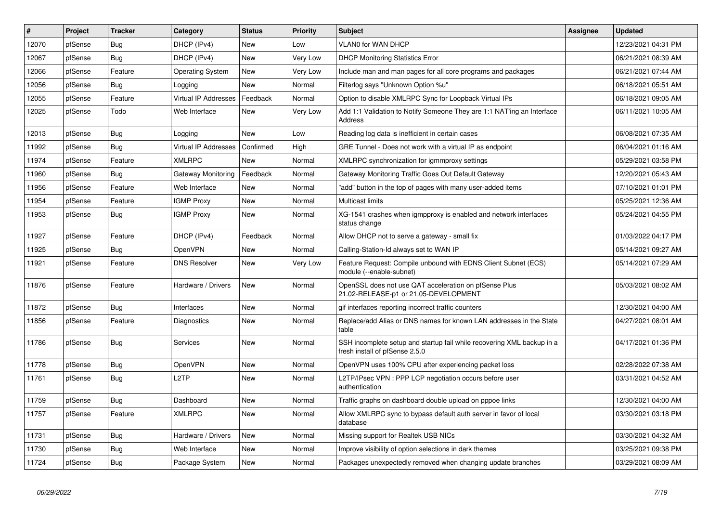| $\vert$ # | Project | <b>Tracker</b> | Category                | <b>Status</b> | Priority | <b>Subject</b>                                                                                           | <b>Assignee</b> | <b>Updated</b>      |
|-----------|---------|----------------|-------------------------|---------------|----------|----------------------------------------------------------------------------------------------------------|-----------------|---------------------|
| 12070     | pfSense | Bug            | DHCP (IPv4)             | <b>New</b>    | Low      | <b>VLAN0 for WAN DHCP</b>                                                                                |                 | 12/23/2021 04:31 PM |
| 12067     | pfSense | Bug            | DHCP (IPv4)             | <b>New</b>    | Very Low | <b>DHCP Monitoring Statistics Error</b>                                                                  |                 | 06/21/2021 08:39 AM |
| 12066     | pfSense | Feature        | <b>Operating System</b> | New           | Very Low | Include man and man pages for all core programs and packages                                             |                 | 06/21/2021 07:44 AM |
| 12056     | pfSense | Bug            | Logging                 | <b>New</b>    | Normal   | Filterlog says "Unknown Option %u"                                                                       |                 | 06/18/2021 05:51 AM |
| 12055     | pfSense | Feature        | Virtual IP Addresses    | Feedback      | Normal   | Option to disable XMLRPC Sync for Loopback Virtual IPs                                                   |                 | 06/18/2021 09:05 AM |
| 12025     | pfSense | Todo           | Web Interface           | <b>New</b>    | Very Low | Add 1:1 Validation to Notify Someone They are 1:1 NAT'ing an Interface<br>Address                        |                 | 06/11/2021 10:05 AM |
| 12013     | pfSense | Bug            | Logging                 | <b>New</b>    | Low      | Reading log data is inefficient in certain cases                                                         |                 | 06/08/2021 07:35 AM |
| 11992     | pfSense | Bug            | Virtual IP Addresses    | Confirmed     | High     | GRE Tunnel - Does not work with a virtual IP as endpoint                                                 |                 | 06/04/2021 01:16 AM |
| 11974     | pfSense | Feature        | <b>XMLRPC</b>           | <b>New</b>    | Normal   | XMLRPC synchronization for igmmproxy settings                                                            |                 | 05/29/2021 03:58 PM |
| 11960     | pfSense | <b>Bug</b>     | Gateway Monitoring      | Feedback      | Normal   | Gateway Monitoring Traffic Goes Out Default Gateway                                                      |                 | 12/20/2021 05:43 AM |
| 11956     | pfSense | Feature        | Web Interface           | <b>New</b>    | Normal   | "add" button in the top of pages with many user-added items                                              |                 | 07/10/2021 01:01 PM |
| 11954     | pfSense | Feature        | <b>IGMP Proxy</b>       | New           | Normal   | Multicast limits                                                                                         |                 | 05/25/2021 12:36 AM |
| 11953     | pfSense | <b>Bug</b>     | <b>IGMP Proxy</b>       | <b>New</b>    | Normal   | XG-1541 crashes when igmpproxy is enabled and network interfaces<br>status change                        |                 | 05/24/2021 04:55 PM |
| 11927     | pfSense | Feature        | DHCP (IPv4)             | Feedback      | Normal   | Allow DHCP not to serve a gateway - small fix                                                            |                 | 01/03/2022 04:17 PM |
| 11925     | pfSense | Bug            | OpenVPN                 | <b>New</b>    | Normal   | Calling-Station-Id always set to WAN IP                                                                  |                 | 05/14/2021 09:27 AM |
| 11921     | pfSense | Feature        | <b>DNS Resolver</b>     | <b>New</b>    | Very Low | Feature Request: Compile unbound with EDNS Client Subnet (ECS)<br>module (--enable-subnet)               |                 | 05/14/2021 07:29 AM |
| 11876     | pfSense | Feature        | Hardware / Drivers      | <b>New</b>    | Normal   | OpenSSL does not use QAT acceleration on pfSense Plus<br>21.02-RELEASE-p1 or 21.05-DEVELOPMENT           |                 | 05/03/2021 08:02 AM |
| 11872     | pfSense | <b>Bug</b>     | Interfaces              | New           | Normal   | gif interfaces reporting incorrect traffic counters                                                      |                 | 12/30/2021 04:00 AM |
| 11856     | pfSense | Feature        | <b>Diagnostics</b>      | New           | Normal   | Replace/add Alias or DNS names for known LAN addresses in the State<br>table                             |                 | 04/27/2021 08:01 AM |
| 11786     | pfSense | <b>Bug</b>     | <b>Services</b>         | <b>New</b>    | Normal   | SSH incomplete setup and startup fail while recovering XML backup in a<br>fresh install of pfSense 2.5.0 |                 | 04/17/2021 01:36 PM |
| 11778     | pfSense | Bug            | OpenVPN                 | New           | Normal   | OpenVPN uses 100% CPU after experiencing packet loss                                                     |                 | 02/28/2022 07:38 AM |
| 11761     | pfSense | <b>Bug</b>     | L <sub>2</sub> TP       | New           | Normal   | L2TP/IPsec VPN : PPP LCP negotiation occurs before user<br>authentication                                |                 | 03/31/2021 04:52 AM |
| 11759     | pfSense | Bug            | Dashboard               | New           | Normal   | Traffic graphs on dashboard double upload on pppoe links                                                 |                 | 12/30/2021 04:00 AM |
| 11757     | pfSense | Feature        | <b>XMLRPC</b>           | <b>New</b>    | Normal   | Allow XMLRPC sync to bypass default auth server in favor of local<br>database                            |                 | 03/30/2021 03:18 PM |
| 11731     | pfSense | <b>Bug</b>     | Hardware / Drivers      | New           | Normal   | Missing support for Realtek USB NICs                                                                     |                 | 03/30/2021 04:32 AM |
| 11730     | pfSense | <b>Bug</b>     | Web Interface           | <b>New</b>    | Normal   | Improve visibility of option selections in dark themes                                                   |                 | 03/25/2021 09:38 PM |
| 11724     | pfSense | <b>Bug</b>     | Package System          | New           | Normal   | Packages unexpectedly removed when changing update branches                                              |                 | 03/29/2021 08:09 AM |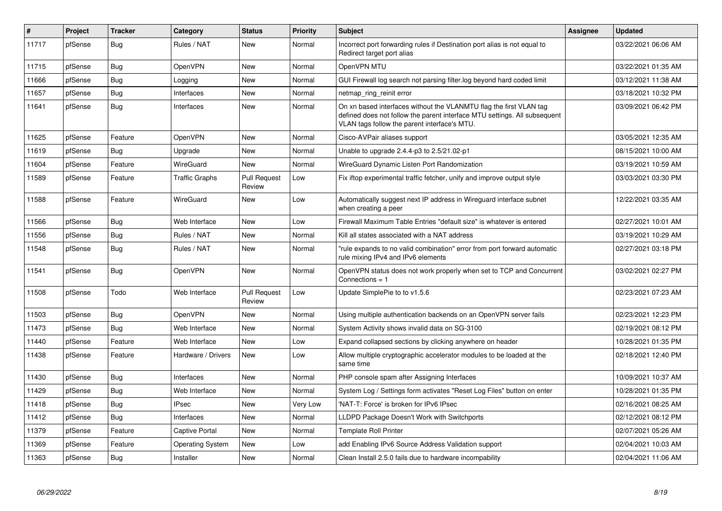| #     | Project | <b>Tracker</b> | Category                | <b>Status</b>                 | Priority | <b>Subject</b>                                                                                                                                                                                  | <b>Assignee</b> | <b>Updated</b>      |
|-------|---------|----------------|-------------------------|-------------------------------|----------|-------------------------------------------------------------------------------------------------------------------------------------------------------------------------------------------------|-----------------|---------------------|
| 11717 | pfSense | <b>Bug</b>     | Rules / NAT             | <b>New</b>                    | Normal   | Incorrect port forwarding rules if Destination port alias is not equal to<br>Redirect target port alias                                                                                         |                 | 03/22/2021 06:06 AM |
| 11715 | pfSense | Bug            | OpenVPN                 | <b>New</b>                    | Normal   | OpenVPN MTU                                                                                                                                                                                     |                 | 03/22/2021 01:35 AM |
| 11666 | pfSense | <b>Bug</b>     | Logging                 | <b>New</b>                    | Normal   | GUI Firewall log search not parsing filter.log beyond hard coded limit                                                                                                                          |                 | 03/12/2021 11:38 AM |
| 11657 | pfSense | Bug            | Interfaces              | <b>New</b>                    | Normal   | netmap ring reinit error                                                                                                                                                                        |                 | 03/18/2021 10:32 PM |
| 11641 | pfSense | <b>Bug</b>     | Interfaces              | <b>New</b>                    | Normal   | On xn based interfaces without the VLANMTU flag the first VLAN tag<br>defined does not follow the parent interface MTU settings. All subsequent<br>VLAN tags follow the parent interface's MTU. |                 | 03/09/2021 06:42 PM |
| 11625 | pfSense | Feature        | OpenVPN                 | <b>New</b>                    | Normal   | Cisco-AVPair aliases support                                                                                                                                                                    |                 | 03/05/2021 12:35 AM |
| 11619 | pfSense | Bug            | Upgrade                 | <b>New</b>                    | Normal   | Unable to upgrade 2.4.4-p3 to 2.5/21.02-p1                                                                                                                                                      |                 | 08/15/2021 10:00 AM |
| 11604 | pfSense | Feature        | WireGuard               | <b>New</b>                    | Normal   | WireGuard Dynamic Listen Port Randomization                                                                                                                                                     |                 | 03/19/2021 10:59 AM |
| 11589 | pfSense | Feature        | Traffic Graphs          | <b>Pull Request</b><br>Review | Low      | Fix iftop experimental traffic fetcher, unify and improve output style                                                                                                                          |                 | 03/03/2021 03:30 PM |
| 11588 | pfSense | Feature        | WireGuard               | <b>New</b>                    | Low      | Automatically suggest next IP address in Wireguard interface subnet<br>when creating a peer                                                                                                     |                 | 12/22/2021 03:35 AM |
| 11566 | pfSense | Bug            | Web Interface           | <b>New</b>                    | Low      | Firewall Maximum Table Entries "default size" is whatever is entered                                                                                                                            |                 | 02/27/2021 10:01 AM |
| 11556 | pfSense | Bug            | Rules / NAT             | <b>New</b>                    | Normal   | Kill all states associated with a NAT address                                                                                                                                                   |                 | 03/19/2021 10:29 AM |
| 11548 | pfSense | Bug            | Rules / NAT             | <b>New</b>                    | Normal   | "rule expands to no valid combination" error from port forward automatic<br>rule mixing IPv4 and IPv6 elements                                                                                  |                 | 02/27/2021 03:18 PM |
| 11541 | pfSense | <b>Bug</b>     | OpenVPN                 | <b>New</b>                    | Normal   | OpenVPN status does not work properly when set to TCP and Concurrent<br>Connections $= 1$                                                                                                       |                 | 03/02/2021 02:27 PM |
| 11508 | pfSense | Todo           | Web Interface           | <b>Pull Request</b><br>Review | Low      | Update SimplePie to to v1.5.6                                                                                                                                                                   |                 | 02/23/2021 07:23 AM |
| 11503 | pfSense | Bug            | <b>OpenVPN</b>          | <b>New</b>                    | Normal   | Using multiple authentication backends on an OpenVPN server fails                                                                                                                               |                 | 02/23/2021 12:23 PM |
| 11473 | pfSense | <b>Bug</b>     | Web Interface           | <b>New</b>                    | Normal   | System Activity shows invalid data on SG-3100                                                                                                                                                   |                 | 02/19/2021 08:12 PM |
| 11440 | pfSense | Feature        | Web Interface           | <b>New</b>                    | Low      | Expand collapsed sections by clicking anywhere on header                                                                                                                                        |                 | 10/28/2021 01:35 PM |
| 11438 | pfSense | Feature        | Hardware / Drivers      | <b>New</b>                    | Low      | Allow multiple cryptographic accelerator modules to be loaded at the<br>same time                                                                                                               |                 | 02/18/2021 12:40 PM |
| 11430 | pfSense | Bug            | Interfaces              | <b>New</b>                    | Normal   | PHP console spam after Assigning Interfaces                                                                                                                                                     |                 | 10/09/2021 10:37 AM |
| 11429 | pfSense | <b>Bug</b>     | Web Interface           | <b>New</b>                    | Normal   | System Log / Settings form activates "Reset Log Files" button on enter                                                                                                                          |                 | 10/28/2021 01:35 PM |
| 11418 | pfSense | Bug            | <b>IPsec</b>            | New                           | Very Low | 'NAT-T: Force' is broken for IPv6 IPsec                                                                                                                                                         |                 | 02/16/2021 08:25 AM |
| 11412 | pfSense | Bug            | Interfaces              | <b>New</b>                    | Normal   | LLDPD Package Doesn't Work with Switchports                                                                                                                                                     |                 | 02/12/2021 08:12 PM |
| 11379 | pfSense | Feature        | <b>Captive Portal</b>   | New                           | Normal   | <b>Template Roll Printer</b>                                                                                                                                                                    |                 | 02/07/2021 05:26 AM |
| 11369 | pfSense | Feature        | <b>Operating System</b> | New                           | Low      | add Enabling IPv6 Source Address Validation support                                                                                                                                             |                 | 02/04/2021 10:03 AM |
| 11363 | pfSense | <b>Bug</b>     | Installer               | <b>New</b>                    | Normal   | Clean Install 2.5.0 fails due to hardware incompability                                                                                                                                         |                 | 02/04/2021 11:06 AM |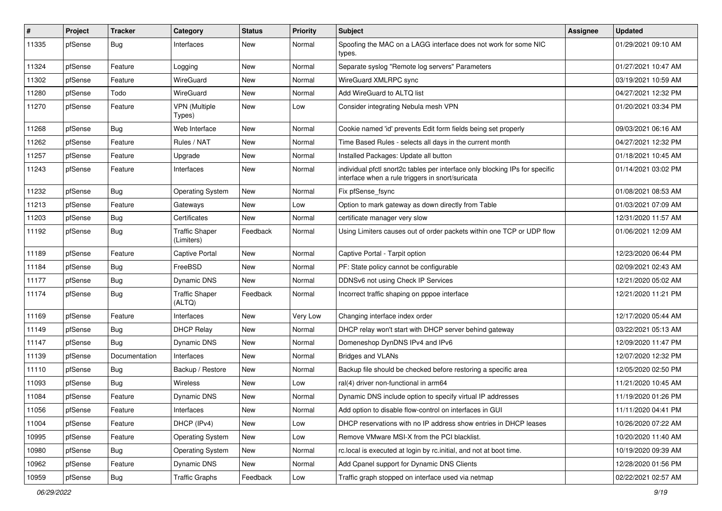| #     | Project | <b>Tracker</b> | Category                            | <b>Status</b> | Priority | <b>Subject</b>                                                                                                                   | <b>Assignee</b> | <b>Updated</b>      |
|-------|---------|----------------|-------------------------------------|---------------|----------|----------------------------------------------------------------------------------------------------------------------------------|-----------------|---------------------|
| 11335 | pfSense | Bug            | Interfaces                          | New           | Normal   | Spoofing the MAC on a LAGG interface does not work for some NIC<br>types.                                                        |                 | 01/29/2021 09:10 AM |
| 11324 | pfSense | Feature        | Logging                             | New           | Normal   | Separate syslog "Remote log servers" Parameters                                                                                  |                 | 01/27/2021 10:47 AM |
| 11302 | pfSense | Feature        | WireGuard                           | <b>New</b>    | Normal   | WireGuard XMLRPC sync                                                                                                            |                 | 03/19/2021 10:59 AM |
| 11280 | pfSense | Todo           | WireGuard                           | New           | Normal   | Add WireGuard to ALTQ list                                                                                                       |                 | 04/27/2021 12:32 PM |
| 11270 | pfSense | Feature        | VPN (Multiple<br>Types)             | New           | Low      | Consider integrating Nebula mesh VPN                                                                                             |                 | 01/20/2021 03:34 PM |
| 11268 | pfSense | Bug            | Web Interface                       | <b>New</b>    | Normal   | Cookie named 'id' prevents Edit form fields being set properly                                                                   |                 | 09/03/2021 06:16 AM |
| 11262 | pfSense | Feature        | Rules / NAT                         | New           | Normal   | Time Based Rules - selects all days in the current month                                                                         |                 | 04/27/2021 12:32 PM |
| 11257 | pfSense | Feature        | Upgrade                             | New           | Normal   | Installed Packages: Update all button                                                                                            |                 | 01/18/2021 10:45 AM |
| 11243 | pfSense | Feature        | Interfaces                          | New           | Normal   | individual pfctl snort2c tables per interface only blocking IPs for specific<br>interface when a rule triggers in snort/suricata |                 | 01/14/2021 03:02 PM |
| 11232 | pfSense | Bug            | <b>Operating System</b>             | <b>New</b>    | Normal   | Fix pfSense_fsync                                                                                                                |                 | 01/08/2021 08:53 AM |
| 11213 | pfSense | Feature        | Gateways                            | New           | Low      | Option to mark gateway as down directly from Table                                                                               |                 | 01/03/2021 07:09 AM |
| 11203 | pfSense | Bug            | Certificates                        | New           | Normal   | certificate manager very slow                                                                                                    |                 | 12/31/2020 11:57 AM |
| 11192 | pfSense | <b>Bug</b>     | <b>Traffic Shaper</b><br>(Limiters) | Feedback      | Normal   | Using Limiters causes out of order packets within one TCP or UDP flow                                                            |                 | 01/06/2021 12:09 AM |
| 11189 | pfSense | Feature        | <b>Captive Portal</b>               | <b>New</b>    | Normal   | Captive Portal - Tarpit option                                                                                                   |                 | 12/23/2020 06:44 PM |
| 11184 | pfSense | <b>Bug</b>     | FreeBSD                             | New           | Normal   | PF: State policy cannot be configurable                                                                                          |                 | 02/09/2021 02:43 AM |
| 11177 | pfSense | Bug            | Dynamic DNS                         | New           | Normal   | DDNSv6 not using Check IP Services                                                                                               |                 | 12/21/2020 05:02 AM |
| 11174 | pfSense | Bug            | <b>Traffic Shaper</b><br>(ALTQ)     | Feedback      | Normal   | Incorrect traffic shaping on pppoe interface                                                                                     |                 | 12/21/2020 11:21 PM |
| 11169 | pfSense | Feature        | Interfaces                          | <b>New</b>    | Very Low | Changing interface index order                                                                                                   |                 | 12/17/2020 05:44 AM |
| 11149 | pfSense | Bug            | <b>DHCP Relay</b>                   | New           | Normal   | DHCP relay won't start with DHCP server behind gateway                                                                           |                 | 03/22/2021 05:13 AM |
| 11147 | pfSense | Bug            | Dynamic DNS                         | New           | Normal   | Domeneshop DynDNS IPv4 and IPv6                                                                                                  |                 | 12/09/2020 11:47 PM |
| 11139 | pfSense | Documentation  | Interfaces                          | <b>New</b>    | Normal   | <b>Bridges and VLANs</b>                                                                                                         |                 | 12/07/2020 12:32 PM |
| 11110 | pfSense | Bug            | Backup / Restore                    | New           | Normal   | Backup file should be checked before restoring a specific area                                                                   |                 | 12/05/2020 02:50 PM |
| 11093 | pfSense | <b>Bug</b>     | <b>Wireless</b>                     | New           | Low      | ral(4) driver non-functional in arm64                                                                                            |                 | 11/21/2020 10:45 AM |
| 11084 | pfSense | Feature        | <b>Dynamic DNS</b>                  | <b>New</b>    | Normal   | Dynamic DNS include option to specify virtual IP addresses                                                                       |                 | 11/19/2020 01:26 PM |
| 11056 | ptSense | Feature        | Interfaces                          | New           | Normal   | Add option to disable flow-control on interfaces in GUI                                                                          |                 | 11/11/2020 04:41 PM |
| 11004 | pfSense | Feature        | DHCP (IPv4)                         | New           | Low      | DHCP reservations with no IP address show entries in DHCP leases                                                                 |                 | 10/26/2020 07:22 AM |
| 10995 | pfSense | Feature        | <b>Operating System</b>             | New           | Low      | Remove VMware MSI-X from the PCI blacklist.                                                                                      |                 | 10/20/2020 11:40 AM |
| 10980 | pfSense | <b>Bug</b>     | <b>Operating System</b>             | New           | Normal   | rc.local is executed at login by rc.initial, and not at boot time.                                                               |                 | 10/19/2020 09:39 AM |
| 10962 | pfSense | Feature        | Dynamic DNS                         | New           | Normal   | Add Cpanel support for Dynamic DNS Clients                                                                                       |                 | 12/28/2020 01:56 PM |
| 10959 | pfSense | Bug            | <b>Traffic Graphs</b>               | Feedback      | Low      | Traffic graph stopped on interface used via netmap                                                                               |                 | 02/22/2021 02:57 AM |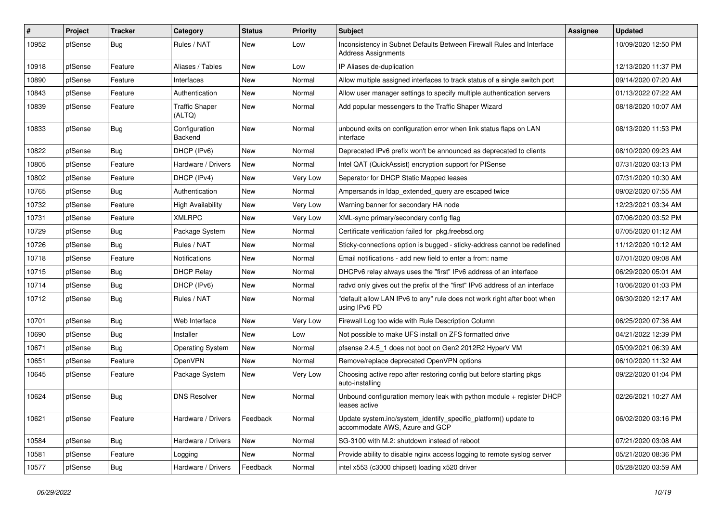| #     | Project | <b>Tracker</b> | Category                        | <b>Status</b> | Priority | <b>Subject</b>                                                                                    | <b>Assignee</b> | <b>Updated</b>      |
|-------|---------|----------------|---------------------------------|---------------|----------|---------------------------------------------------------------------------------------------------|-----------------|---------------------|
| 10952 | pfSense | Bug            | Rules / NAT                     | New           | Low      | Inconsistency in Subnet Defaults Between Firewall Rules and Interface<br>Address Assignments      |                 | 10/09/2020 12:50 PM |
| 10918 | pfSense | Feature        | Aliases / Tables                | New           | Low      | IP Aliases de-duplication                                                                         |                 | 12/13/2020 11:37 PM |
| 10890 | pfSense | Feature        | Interfaces                      | <b>New</b>    | Normal   | Allow multiple assigned interfaces to track status of a single switch port                        |                 | 09/14/2020 07:20 AM |
| 10843 | pfSense | Feature        | Authentication                  | New           | Normal   | Allow user manager settings to specify multiple authentication servers                            |                 | 01/13/2022 07:22 AM |
| 10839 | pfSense | Feature        | <b>Traffic Shaper</b><br>(ALTQ) | New           | Normal   | Add popular messengers to the Traffic Shaper Wizard                                               |                 | 08/18/2020 10:07 AM |
| 10833 | pfSense | Bug            | Configuration<br>Backend        | New           | Normal   | unbound exits on configuration error when link status flaps on LAN<br>interface                   |                 | 08/13/2020 11:53 PM |
| 10822 | pfSense | Bug            | DHCP (IPv6)                     | New           | Normal   | Deprecated IPv6 prefix won't be announced as deprecated to clients                                |                 | 08/10/2020 09:23 AM |
| 10805 | pfSense | Feature        | Hardware / Drivers              | New           | Normal   | Intel QAT (QuickAssist) encryption support for PfSense                                            |                 | 07/31/2020 03:13 PM |
| 10802 | pfSense | Feature        | DHCP (IPv4)                     | New           | Very Low | Seperator for DHCP Static Mapped leases                                                           |                 | 07/31/2020 10:30 AM |
| 10765 | pfSense | Bug            | Authentication                  | New           | Normal   | Ampersands in Idap extended query are escaped twice                                               |                 | 09/02/2020 07:55 AM |
| 10732 | pfSense | Feature        | <b>High Availability</b>        | New           | Very Low | Warning banner for secondary HA node                                                              |                 | 12/23/2021 03:34 AM |
| 10731 | pfSense | Feature        | <b>XMLRPC</b>                   | New           | Very Low | XML-sync primary/secondary config flag                                                            |                 | 07/06/2020 03:52 PM |
| 10729 | pfSense | Bug            | Package System                  | New           | Normal   | Certificate verification failed for pkg.freebsd.org                                               |                 | 07/05/2020 01:12 AM |
| 10726 | pfSense | Bug            | Rules / NAT                     | New           | Normal   | Sticky-connections option is bugged - sticky-address cannot be redefined                          |                 | 11/12/2020 10:12 AM |
| 10718 | pfSense | Feature        | <b>Notifications</b>            | New           | Normal   | Email notifications - add new field to enter a from: name                                         |                 | 07/01/2020 09:08 AM |
| 10715 | pfSense | <b>Bug</b>     | <b>DHCP Relay</b>               | New           | Normal   | DHCPv6 relay always uses the "first" IPv6 address of an interface                                 |                 | 06/29/2020 05:01 AM |
| 10714 | pfSense | <b>Bug</b>     | DHCP (IPv6)                     | New           | Normal   | radyd only gives out the prefix of the "first" IPv6 address of an interface                       |                 | 10/06/2020 01:03 PM |
| 10712 | pfSense | <b>Bug</b>     | Rules / NAT                     | New           | Normal   | "default allow LAN IPv6 to any" rule does not work right after boot when<br>using IPv6 PD         |                 | 06/30/2020 12:17 AM |
| 10701 | pfSense | <b>Bug</b>     | Web Interface                   | New           | Very Low | Firewall Log too wide with Rule Description Column                                                |                 | 06/25/2020 07:36 AM |
| 10690 | pfSense | <b>Bug</b>     | Installer                       | New           | Low      | Not possible to make UFS install on ZFS formatted drive                                           |                 | 04/21/2022 12:39 PM |
| 10671 | pfSense | <b>Bug</b>     | <b>Operating System</b>         | New           | Normal   | pfsense 2.4.5 1 does not boot on Gen2 2012R2 HyperV VM                                            |                 | 05/09/2021 06:39 AM |
| 10651 | pfSense | Feature        | OpenVPN                         | New           | Normal   | Remove/replace deprecated OpenVPN options                                                         |                 | 06/10/2020 11:32 AM |
| 10645 | pfSense | Feature        | Package System                  | New           | Very Low | Choosing active repo after restoring config but before starting pkgs<br>auto-installing           |                 | 09/22/2020 01:04 PM |
| 10624 | pfSense | <b>Bug</b>     | <b>DNS Resolver</b>             | New           | Normal   | Unbound configuration memory leak with python module + register DHCP<br>leases active             |                 | 02/26/2021 10:27 AM |
| 10621 | pfSense | Feature        | Hardware / Drivers              | Feedback      | Normal   | Update system.inc/system_identify_specific_platform() update to<br>accommodate AWS, Azure and GCP |                 | 06/02/2020 03:16 PM |
| 10584 | pfSense | Bug            | Hardware / Drivers              | New           | Normal   | SG-3100 with M.2: shutdown instead of reboot                                                      |                 | 07/21/2020 03:08 AM |
| 10581 | pfSense | Feature        | Logging                         | New           | Normal   | Provide ability to disable nginx access logging to remote syslog server                           |                 | 05/21/2020 08:36 PM |
| 10577 | pfSense | <b>Bug</b>     | Hardware / Drivers              | Feedback      | Normal   | intel x553 (c3000 chipset) loading x520 driver                                                    |                 | 05/28/2020 03:59 AM |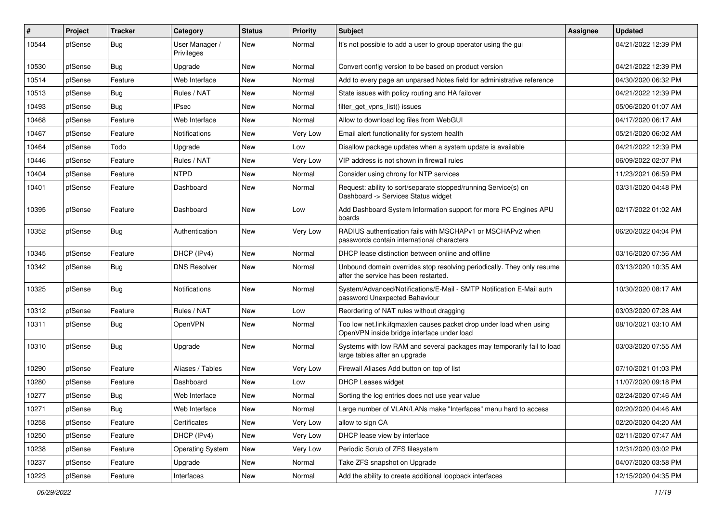| ∦     | Project | <b>Tracker</b> | Category                     | <b>Status</b> | <b>Priority</b> | <b>Subject</b>                                                                                                    | Assignee | <b>Updated</b>      |
|-------|---------|----------------|------------------------------|---------------|-----------------|-------------------------------------------------------------------------------------------------------------------|----------|---------------------|
| 10544 | pfSense | Bug            | User Manager /<br>Privileges | New           | Normal          | It's not possible to add a user to group operator using the gui                                                   |          | 04/21/2022 12:39 PM |
| 10530 | pfSense | Bug            | Upgrade                      | <b>New</b>    | Normal          | Convert config version to be based on product version                                                             |          | 04/21/2022 12:39 PM |
| 10514 | pfSense | Feature        | Web Interface                | <b>New</b>    | Normal          | Add to every page an unparsed Notes field for administrative reference                                            |          | 04/30/2020 06:32 PM |
| 10513 | pfSense | <b>Bug</b>     | Rules / NAT                  | <b>New</b>    | Normal          | State issues with policy routing and HA failover                                                                  |          | 04/21/2022 12:39 PM |
| 10493 | pfSense | <b>Bug</b>     | <b>IPsec</b>                 | New           | Normal          | filter_get_vpns_list() issues                                                                                     |          | 05/06/2020 01:07 AM |
| 10468 | pfSense | Feature        | Web Interface                | <b>New</b>    | Normal          | Allow to download log files from WebGUI                                                                           |          | 04/17/2020 06:17 AM |
| 10467 | pfSense | Feature        | <b>Notifications</b>         | New           | Very Low        | Email alert functionality for system health                                                                       |          | 05/21/2020 06:02 AM |
| 10464 | pfSense | Todo           | Upgrade                      | <b>New</b>    | Low             | Disallow package updates when a system update is available                                                        |          | 04/21/2022 12:39 PM |
| 10446 | pfSense | Feature        | Rules / NAT                  | <b>New</b>    | Very Low        | VIP address is not shown in firewall rules                                                                        |          | 06/09/2022 02:07 PM |
| 10404 | pfSense | Feature        | <b>NTPD</b>                  | <b>New</b>    | Normal          | Consider using chrony for NTP services                                                                            |          | 11/23/2021 06:59 PM |
| 10401 | pfSense | Feature        | Dashboard                    | New           | Normal          | Request: ability to sort/separate stopped/running Service(s) on<br>Dashboard -> Services Status widget            |          | 03/31/2020 04:48 PM |
| 10395 | pfSense | Feature        | Dashboard                    | New           | Low             | Add Dashboard System Information support for more PC Engines APU<br>boards                                        |          | 02/17/2022 01:02 AM |
| 10352 | pfSense | Bug            | Authentication               | New           | Very Low        | RADIUS authentication fails with MSCHAPv1 or MSCHAPv2 when<br>passwords contain international characters          |          | 06/20/2022 04:04 PM |
| 10345 | pfSense | Feature        | DHCP (IPv4)                  | <b>New</b>    | Normal          | DHCP lease distinction between online and offline                                                                 |          | 03/16/2020 07:56 AM |
| 10342 | pfSense | Bug            | <b>DNS Resolver</b>          | <b>New</b>    | Normal          | Unbound domain overrides stop resolving periodically. They only resume<br>after the service has been restarted.   |          | 03/13/2020 10:35 AM |
| 10325 | pfSense | <b>Bug</b>     | <b>Notifications</b>         | <b>New</b>    | Normal          | System/Advanced/Notifications/E-Mail - SMTP Notification E-Mail auth<br>password Unexpected Bahaviour             |          | 10/30/2020 08:17 AM |
| 10312 | pfSense | Feature        | Rules / NAT                  | <b>New</b>    | Low             | Reordering of NAT rules without dragging                                                                          |          | 03/03/2020 07:28 AM |
| 10311 | pfSense | <b>Bug</b>     | <b>OpenVPN</b>               | New           | Normal          | Too low net.link.ifqmaxlen causes packet drop under load when using<br>OpenVPN inside bridge interface under load |          | 08/10/2021 03:10 AM |
| 10310 | pfSense | <b>Bug</b>     | Upgrade                      | <b>New</b>    | Normal          | Systems with low RAM and several packages may temporarily fail to load<br>large tables after an upgrade           |          | 03/03/2020 07:55 AM |
| 10290 | pfSense | Feature        | Aliases / Tables             | <b>New</b>    | Very Low        | Firewall Aliases Add button on top of list                                                                        |          | 07/10/2021 01:03 PM |
| 10280 | pfSense | Feature        | Dashboard                    | <b>New</b>    | Low             | <b>DHCP Leases widget</b>                                                                                         |          | 11/07/2020 09:18 PM |
| 10277 | pfSense | Bug            | Web Interface                | <b>New</b>    | Normal          | Sorting the log entries does not use year value                                                                   |          | 02/24/2020 07:46 AM |
| 10271 | pfSense | Bug            | Web Interface                | New           | Normal          | Large number of VLAN/LANs make "Interfaces" menu hard to access                                                   |          | 02/20/2020 04:46 AM |
| 10258 | pfSense | Feature        | Certificates                 | New           | Very Low        | allow to sign CA                                                                                                  |          | 02/20/2020 04:20 AM |
| 10250 | pfSense | Feature        | DHCP (IPv4)                  | New           | Very Low        | DHCP lease view by interface                                                                                      |          | 02/11/2020 07:47 AM |
| 10238 | pfSense | Feature        | <b>Operating System</b>      | New           | Very Low        | Periodic Scrub of ZFS filesystem                                                                                  |          | 12/31/2020 03:02 PM |
| 10237 | pfSense | Feature        | Upgrade                      | New           | Normal          | Take ZFS snapshot on Upgrade                                                                                      |          | 04/07/2020 03:58 PM |
| 10223 | pfSense | Feature        | Interfaces                   | New           | Normal          | Add the ability to create additional loopback interfaces                                                          |          | 12/15/2020 04:35 PM |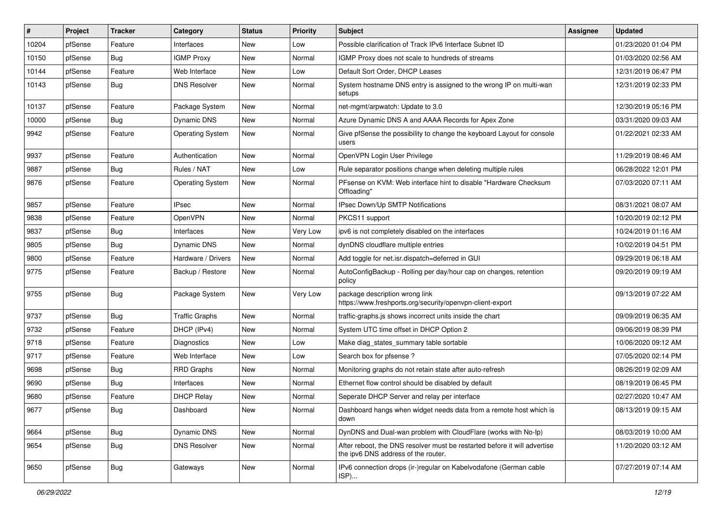| #     | Project | <b>Tracker</b> | Category                | <b>Status</b> | <b>Priority</b> | Subject                                                                                                          | Assignee | <b>Updated</b>      |
|-------|---------|----------------|-------------------------|---------------|-----------------|------------------------------------------------------------------------------------------------------------------|----------|---------------------|
| 10204 | pfSense | Feature        | Interfaces              | New           | Low             | Possible clarification of Track IPv6 Interface Subnet ID                                                         |          | 01/23/2020 01:04 PM |
| 10150 | pfSense | Bug            | <b>IGMP Proxy</b>       | <b>New</b>    | Normal          | IGMP Proxy does not scale to hundreds of streams                                                                 |          | 01/03/2020 02:56 AM |
| 10144 | pfSense | Feature        | Web Interface           | New           | Low             | Default Sort Order, DHCP Leases                                                                                  |          | 12/31/2019 06:47 PM |
| 10143 | pfSense | Bug            | <b>DNS Resolver</b>     | <b>New</b>    | Normal          | System hostname DNS entry is assigned to the wrong IP on multi-wan<br>setups                                     |          | 12/31/2019 02:33 PM |
| 10137 | pfSense | Feature        | Package System          | New           | Normal          | net-mgmt/arpwatch: Update to 3.0                                                                                 |          | 12/30/2019 05:16 PM |
| 10000 | pfSense | Bug            | Dynamic DNS             | New           | Normal          | Azure Dynamic DNS A and AAAA Records for Apex Zone                                                               |          | 03/31/2020 09:03 AM |
| 9942  | pfSense | Feature        | <b>Operating System</b> | New           | Normal          | Give pfSense the possibility to change the keyboard Layout for console<br>users                                  |          | 01/22/2021 02:33 AM |
| 9937  | pfSense | Feature        | Authentication          | <b>New</b>    | Normal          | OpenVPN Login User Privilege                                                                                     |          | 11/29/2019 08:46 AM |
| 9887  | pfSense | Bug            | Rules / NAT             | New           | Low             | Rule separator positions change when deleting multiple rules                                                     |          | 06/28/2022 12:01 PM |
| 9876  | pfSense | Feature        | <b>Operating System</b> | New           | Normal          | PFsense on KVM: Web interface hint to disable "Hardware Checksum<br>Offloading'                                  |          | 07/03/2020 07:11 AM |
| 9857  | pfSense | Feature        | <b>IPsec</b>            | <b>New</b>    | Normal          | IPsec Down/Up SMTP Notifications                                                                                 |          | 08/31/2021 08:07 AM |
| 9838  | pfSense | Feature        | OpenVPN                 | <b>New</b>    | Normal          | PKCS11 support                                                                                                   |          | 10/20/2019 02:12 PM |
| 9837  | pfSense | Bug            | Interfaces              | <b>New</b>    | <b>Very Low</b> | ipv6 is not completely disabled on the interfaces                                                                |          | 10/24/2019 01:16 AM |
| 9805  | pfSense | Bug            | Dynamic DNS             | New           | Normal          | dynDNS cloudflare multiple entries                                                                               |          | 10/02/2019 04:51 PM |
| 9800  | pfSense | Feature        | Hardware / Drivers      | <b>New</b>    | Normal          | Add toggle for net.isr.dispatch=deferred in GUI                                                                  |          | 09/29/2019 06:18 AM |
| 9775  | pfSense | Feature        | Backup / Restore        | New           | Normal          | AutoConfigBackup - Rolling per day/hour cap on changes, retention<br>policy                                      |          | 09/20/2019 09:19 AM |
| 9755  | pfSense | Bug            | Package System          | New           | Very Low        | package description wrong link<br>https://www.freshports.org/security/openvpn-client-export                      |          | 09/13/2019 07:22 AM |
| 9737  | pfSense | Bug            | <b>Traffic Graphs</b>   | <b>New</b>    | Normal          | traffic-graphs.js shows incorrect units inside the chart                                                         |          | 09/09/2019 06:35 AM |
| 9732  | pfSense | Feature        | DHCP (IPv4)             | <b>New</b>    | Normal          | System UTC time offset in DHCP Option 2                                                                          |          | 09/06/2019 08:39 PM |
| 9718  | pfSense | Feature        | Diagnostics             | New           | Low             | Make diag_states_summary table sortable                                                                          |          | 10/06/2020 09:12 AM |
| 9717  | pfSense | Feature        | Web Interface           | <b>New</b>    | Low             | Search box for pfsense?                                                                                          |          | 07/05/2020 02:14 PM |
| 9698  | pfSense | Bug            | <b>RRD Graphs</b>       | New           | Normal          | Monitoring graphs do not retain state after auto-refresh                                                         |          | 08/26/2019 02:09 AM |
| 9690  | pfSense | Bug            | Interfaces              | New           | Normal          | Ethernet flow control should be disabled by default                                                              |          | 08/19/2019 06:45 PM |
| 9680  | pfSense | Feature        | <b>DHCP Relay</b>       | New           | Normal          | Seperate DHCP Server and relay per interface                                                                     |          | 02/27/2020 10:47 AM |
| 9677  | pfSense | Bug            | Dashboard               | New           | Normal          | Dashboard hangs when widget needs data from a remote host which is<br>down                                       |          | 08/13/2019 09:15 AM |
| 9664  | pfSense | Bug            | Dynamic DNS             | New           | Normal          | DynDNS and Dual-wan problem with CloudFlare (works with No-Ip)                                                   |          | 08/03/2019 10:00 AM |
| 9654  | pfSense | <b>Bug</b>     | <b>DNS Resolver</b>     | New           | Normal          | After reboot, the DNS resolver must be restarted before it will advertise<br>the ipv6 DNS address of the router. |          | 11/20/2020 03:12 AM |
| 9650  | pfSense | Bug            | Gateways                | New           | Normal          | IPv6 connection drops (ir-)regular on Kabelvodafone (German cable<br>ISP)                                        |          | 07/27/2019 07:14 AM |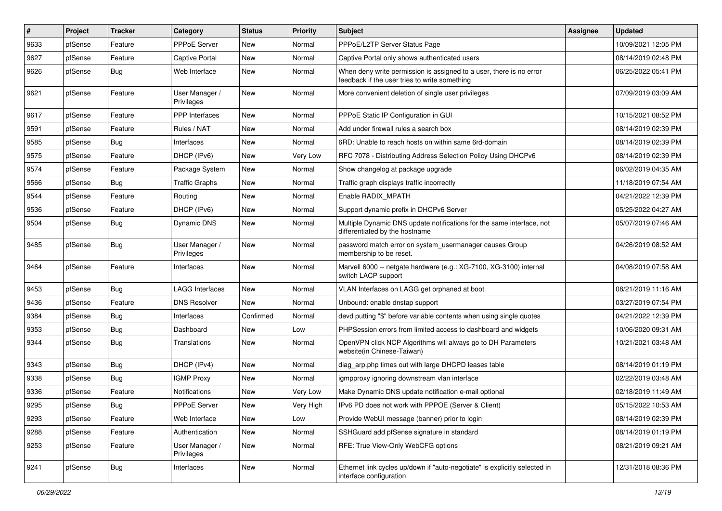| #    | Project | <b>Tracker</b> | Category                     | <b>Status</b> | <b>Priority</b> | <b>Subject</b>                                                                                                       | <b>Assignee</b> | <b>Updated</b>      |
|------|---------|----------------|------------------------------|---------------|-----------------|----------------------------------------------------------------------------------------------------------------------|-----------------|---------------------|
| 9633 | pfSense | Feature        | PPPoE Server                 | New           | Normal          | PPPoE/L2TP Server Status Page                                                                                        |                 | 10/09/2021 12:05 PM |
| 9627 | pfSense | Feature        | Captive Portal               | <b>New</b>    | Normal          | Captive Portal only shows authenticated users                                                                        |                 | 08/14/2019 02:48 PM |
| 9626 | pfSense | <b>Bug</b>     | Web Interface                | New           | Normal          | When deny write permission is assigned to a user, there is no error<br>feedback if the user tries to write something |                 | 06/25/2022 05:41 PM |
| 9621 | pfSense | Feature        | User Manager /<br>Privileges | New           | Normal          | More convenient deletion of single user privileges                                                                   |                 | 07/09/2019 03:09 AM |
| 9617 | pfSense | Feature        | PPP Interfaces               | New           | Normal          | PPPoE Static IP Configuration in GUI                                                                                 |                 | 10/15/2021 08:52 PM |
| 9591 | pfSense | Feature        | Rules / NAT                  | <b>New</b>    | Normal          | Add under firewall rules a search box                                                                                |                 | 08/14/2019 02:39 PM |
| 9585 | pfSense | Bug            | Interfaces                   | New           | Normal          | 6RD: Unable to reach hosts on within same 6rd-domain                                                                 |                 | 08/14/2019 02:39 PM |
| 9575 | pfSense | Feature        | DHCP (IPv6)                  | <b>New</b>    | Very Low        | RFC 7078 - Distributing Address Selection Policy Using DHCPv6                                                        |                 | 08/14/2019 02:39 PM |
| 9574 | pfSense | Feature        | Package System               | New           | Normal          | Show changelog at package upgrade                                                                                    |                 | 06/02/2019 04:35 AM |
| 9566 | pfSense | Bug            | <b>Traffic Graphs</b>        | New           | Normal          | Traffic graph displays traffic incorrectly                                                                           |                 | 11/18/2019 07:54 AM |
| 9544 | pfSense | Feature        | Routing                      | <b>New</b>    | Normal          | Enable RADIX_MPATH                                                                                                   |                 | 04/21/2022 12:39 PM |
| 9536 | pfSense | Feature        | DHCP (IPv6)                  | New           | Normal          | Support dynamic prefix in DHCPv6 Server                                                                              |                 | 05/25/2022 04:27 AM |
| 9504 | pfSense | Bug            | Dynamic DNS                  | New           | Normal          | Multiple Dynamic DNS update notifications for the same interface, not<br>differentiated by the hostname              |                 | 05/07/2019 07:46 AM |
| 9485 | pfSense | Bug            | User Manager /<br>Privileges | <b>New</b>    | Normal          | password match error on system_usermanager causes Group<br>membership to be reset.                                   |                 | 04/26/2019 08:52 AM |
| 9464 | pfSense | Feature        | Interfaces                   | <b>New</b>    | Normal          | Marvell 6000 -- netgate hardware (e.g.: XG-7100, XG-3100) internal<br>switch LACP support                            |                 | 04/08/2019 07:58 AM |
| 9453 | pfSense | Bug            | <b>LAGG Interfaces</b>       | <b>New</b>    | Normal          | VLAN Interfaces on LAGG get orphaned at boot                                                                         |                 | 08/21/2019 11:16 AM |
| 9436 | pfSense | Feature        | <b>DNS Resolver</b>          | <b>New</b>    | Normal          | Unbound: enable dnstap support                                                                                       |                 | 03/27/2019 07:54 PM |
| 9384 | pfSense | <b>Bug</b>     | Interfaces                   | Confirmed     | Normal          | devd putting "\$" before variable contents when using single quotes                                                  |                 | 04/21/2022 12:39 PM |
| 9353 | pfSense | <b>Bug</b>     | Dashboard                    | <b>New</b>    | Low             | PHPSession errors from limited access to dashboard and widgets                                                       |                 | 10/06/2020 09:31 AM |
| 9344 | pfSense | <b>Bug</b>     | Translations                 | New           | Normal          | OpenVPN click NCP Algorithms will always go to DH Parameters<br>website(in Chinese-Taiwan)                           |                 | 10/21/2021 03:48 AM |
| 9343 | pfSense | Bug            | DHCP (IPv4)                  | <b>New</b>    | Normal          | diag arp.php times out with large DHCPD leases table                                                                 |                 | 08/14/2019 01:19 PM |
| 9338 | pfSense | Bug            | <b>IGMP Proxy</b>            | <b>New</b>    | Normal          | igmpproxy ignoring downstream vlan interface                                                                         |                 | 02/22/2019 03:48 AM |
| 9336 | pfSense | Feature        | <b>Notifications</b>         | <b>New</b>    | Very Low        | Make Dynamic DNS update notification e-mail optional                                                                 |                 | 02/18/2019 11:49 AM |
| 9295 | pfSense | <b>Bug</b>     | PPPoE Server                 | New           | Very High       | IPv6 PD does not work with PPPOE (Server & Client)                                                                   |                 | 05/15/2022 10:53 AM |
| 9293 | pfSense | Feature        | Web Interface                | New           | Low             | Provide WebUI message (banner) prior to login                                                                        |                 | 08/14/2019 02:39 PM |
| 9288 | pfSense | Feature        | Authentication               | New           | Normal          | SSHGuard add pfSense signature in standard                                                                           |                 | 08/14/2019 01:19 PM |
| 9253 | pfSense | Feature        | User Manager /<br>Privileges | New           | Normal          | RFE: True View-Only WebCFG options                                                                                   |                 | 08/21/2019 09:21 AM |
| 9241 | pfSense | <b>Bug</b>     | Interfaces                   | New           | Normal          | Ethernet link cycles up/down if "auto-negotiate" is explicitly selected in<br>interface configuration                |                 | 12/31/2018 08:36 PM |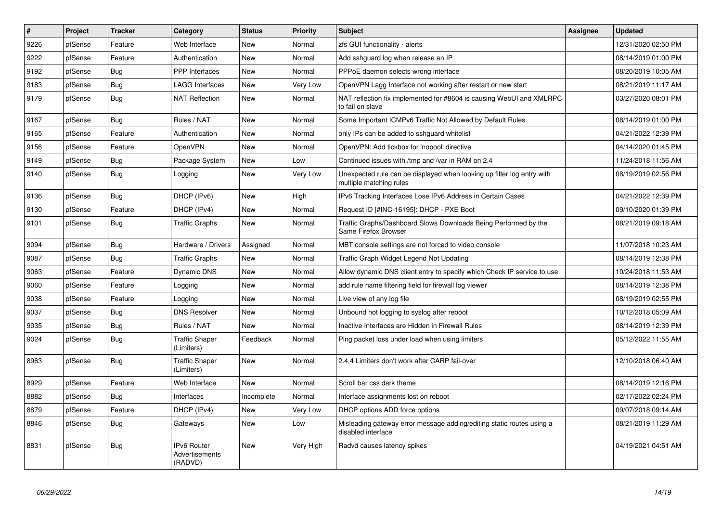| #    | <b>Project</b> | <b>Tracker</b> | Category                                        | <b>Status</b> | Priority  | <b>Subject</b>                                                                                    | <b>Assignee</b> | <b>Updated</b>      |
|------|----------------|----------------|-------------------------------------------------|---------------|-----------|---------------------------------------------------------------------------------------------------|-----------------|---------------------|
| 9226 | pfSense        | Feature        | Web Interface                                   | <b>New</b>    | Normal    | zfs GUI functionality - alerts                                                                    |                 | 12/31/2020 02:50 PM |
| 9222 | pfSense        | Feature        | Authentication                                  | <b>New</b>    | Normal    | Add sshquard log when release an IP                                                               |                 | 08/14/2019 01:00 PM |
| 9192 | pfSense        | <b>Bug</b>     | <b>PPP</b> Interfaces                           | <b>New</b>    | Normal    | PPPoE daemon selects wrong interface                                                              |                 | 08/20/2019 10:05 AM |
| 9183 | pfSense        | <b>Bug</b>     | <b>LAGG Interfaces</b>                          | <b>New</b>    | Very Low  | OpenVPN Lagg Interface not working after restart or new start                                     |                 | 08/21/2019 11:17 AM |
| 9179 | pfSense        | <b>Bug</b>     | <b>NAT Reflection</b>                           | <b>New</b>    | Normal    | NAT reflection fix implemented for #8604 is causing WebUI and XMLRPC<br>to fail on slave          |                 | 03/27/2020 08:01 PM |
| 9167 | pfSense        | Bug            | Rules / NAT                                     | New           | Normal    | Some Important ICMPv6 Traffic Not Allowed by Default Rules                                        |                 | 08/14/2019 01:00 PM |
| 9165 | pfSense        | Feature        | Authentication                                  | <b>New</b>    | Normal    | only IPs can be added to sshquard whitelist                                                       |                 | 04/21/2022 12:39 PM |
| 9156 | pfSense        | Feature        | <b>OpenVPN</b>                                  | <b>New</b>    | Normal    | OpenVPN: Add tickbox for 'nopool' directive                                                       |                 | 04/14/2020 01:45 PM |
| 9149 | pfSense        | <b>Bug</b>     | Package System                                  | <b>New</b>    | Low       | Continued issues with /tmp and /var in RAM on 2.4                                                 |                 | 11/24/2018 11:56 AM |
| 9140 | pfSense        | <b>Bug</b>     | Logging                                         | New           | Very Low  | Unexpected rule can be displayed when looking up filter log entry with<br>multiple matching rules |                 | 08/19/2019 02:56 PM |
| 9136 | pfSense        | Bug            | DHCP (IPv6)                                     | <b>New</b>    | High      | IPv6 Tracking Interfaces Lose IPv6 Address in Certain Cases                                       |                 | 04/21/2022 12:39 PM |
| 9130 | pfSense        | Feature        | DHCP (IPv4)                                     | New           | Normal    | Request ID [#INC-16195]: DHCP - PXE Boot                                                          |                 | 09/10/2020 01:39 PM |
| 9101 | pfSense        | Bug            | <b>Traffic Graphs</b>                           | New           | Normal    | Traffic Graphs/Dashboard Slows Downloads Being Performed by the<br>Same Firefox Browser           |                 | 08/21/2019 09:18 AM |
| 9094 | pfSense        | Bug            | Hardware / Drivers                              | Assigned      | Normal    | MBT console settings are not forced to video console                                              |                 | 11/07/2018 10:23 AM |
| 9087 | pfSense        | Bug            | <b>Traffic Graphs</b>                           | <b>New</b>    | Normal    | Traffic Graph Widget Legend Not Updating                                                          |                 | 08/14/2019 12:38 PM |
| 9063 | pfSense        | Feature        | Dynamic DNS                                     | <b>New</b>    | Normal    | Allow dynamic DNS client entry to specify which Check IP service to use                           |                 | 10/24/2018 11:53 AM |
| 9060 | pfSense        | Feature        | Logging                                         | <b>New</b>    | Normal    | add rule name filtering field for firewall log viewer                                             |                 | 08/14/2019 12:38 PM |
| 9038 | pfSense        | Feature        | Logging                                         | <b>New</b>    | Normal    | Live view of any log file                                                                         |                 | 08/19/2019 02:55 PM |
| 9037 | pfSense        | <b>Bug</b>     | <b>DNS Resolver</b>                             | <b>New</b>    | Normal    | Unbound not logging to syslog after reboot                                                        |                 | 10/12/2018 05:09 AM |
| 9035 | pfSense        | <b>Bug</b>     | Rules / NAT                                     | <b>New</b>    | Normal    | Inactive Interfaces are Hidden in Firewall Rules                                                  |                 | 08/14/2019 12:39 PM |
| 9024 | pfSense        | <b>Bug</b>     | <b>Traffic Shaper</b><br>(Limiters)             | Feedback      | Normal    | Ping packet loss under load when using limiters                                                   |                 | 05/12/2022 11:55 AM |
| 8963 | pfSense        | Bug            | <b>Traffic Shaper</b><br>(Limiters)             | <b>New</b>    | Normal    | 2.4.4 Limiters don't work after CARP fail-over                                                    |                 | 12/10/2018 06:40 AM |
| 8929 | pfSense        | Feature        | Web Interface                                   | <b>New</b>    | Normal    | Scroll bar css dark theme                                                                         |                 | 08/14/2019 12:16 PM |
| 8882 | pfSense        | Bug            | Interfaces                                      | Incomplete    | Normal    | Interface assignments lost on reboot                                                              |                 | 02/17/2022 02:24 PM |
| 8879 | pfSense        | Feature        | DHCP (IPv4)                                     | New           | Very Low  | DHCP options ADD force options                                                                    |                 | 09/07/2018 09:14 AM |
| 8846 | pfSense        | Bug            | Gateways                                        | <b>New</b>    | Low       | Misleading gateway error message adding/editing static routes using a<br>disabled interface       |                 | 08/21/2019 11:29 AM |
| 8831 | pfSense        | Bug            | <b>IPv6 Router</b><br>Advertisements<br>(RADVD) | <b>New</b>    | Very High | Radvd causes latency spikes                                                                       |                 | 04/19/2021 04:51 AM |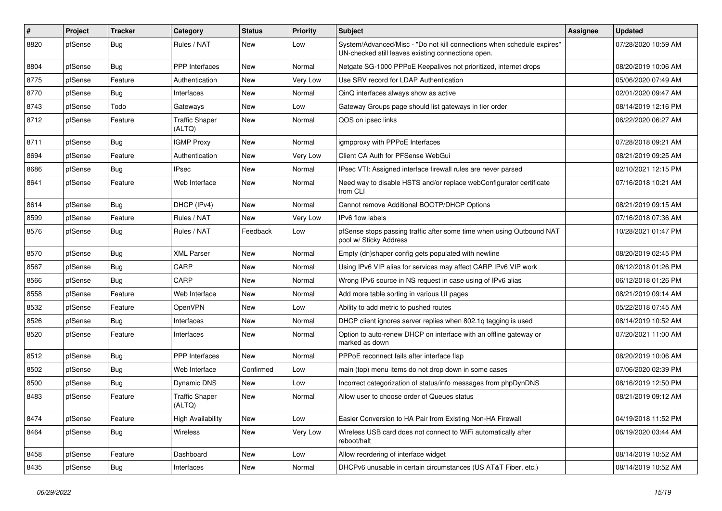| #    | Project | <b>Tracker</b> | Category                        | <b>Status</b> | <b>Priority</b> | <b>Subject</b>                                                                                                               | <b>Assignee</b> | <b>Updated</b>      |
|------|---------|----------------|---------------------------------|---------------|-----------------|------------------------------------------------------------------------------------------------------------------------------|-----------------|---------------------|
| 8820 | pfSense | <b>Bug</b>     | Rules / NAT                     | New           | Low             | System/Advanced/Misc - "Do not kill connections when schedule expires"<br>UN-checked still leaves existing connections open. |                 | 07/28/2020 10:59 AM |
| 8804 | pfSense | <b>Bug</b>     | <b>PPP</b> Interfaces           | New           | Normal          | Netgate SG-1000 PPPoE Keepalives not prioritized, internet drops                                                             |                 | 08/20/2019 10:06 AM |
| 8775 | pfSense | Feature        | Authentication                  | New           | Very Low        | Use SRV record for LDAP Authentication                                                                                       |                 | 05/06/2020 07:49 AM |
| 8770 | pfSense | Bug            | Interfaces                      | <b>New</b>    | Normal          | QinQ interfaces always show as active                                                                                        |                 | 02/01/2020 09:47 AM |
| 8743 | pfSense | Todo           | Gateways                        | New           | Low             | Gateway Groups page should list gateways in tier order                                                                       |                 | 08/14/2019 12:16 PM |
| 8712 | pfSense | Feature        | <b>Traffic Shaper</b><br>(ALTQ) | New           | Normal          | QOS on ipsec links                                                                                                           |                 | 06/22/2020 06:27 AM |
| 8711 | pfSense | Bug            | <b>IGMP Proxy</b>               | <b>New</b>    | Normal          | igmpproxy with PPPoE Interfaces                                                                                              |                 | 07/28/2018 09:21 AM |
| 8694 | pfSense | Feature        | Authentication                  | New           | Very Low        | Client CA Auth for PFSense WebGui                                                                                            |                 | 08/21/2019 09:25 AM |
| 8686 | pfSense | Bug            | <b>IPsec</b>                    | New           | Normal          | IPsec VTI: Assigned interface firewall rules are never parsed                                                                |                 | 02/10/2021 12:15 PM |
| 8641 | pfSense | Feature        | Web Interface                   | New           | Normal          | Need way to disable HSTS and/or replace webConfigurator certificate<br>from CLI                                              |                 | 07/16/2018 10:21 AM |
| 8614 | pfSense | Bug            | DHCP (IPv4)                     | New           | Normal          | Cannot remove Additional BOOTP/DHCP Options                                                                                  |                 | 08/21/2019 09:15 AM |
| 8599 | pfSense | Feature        | Rules / NAT                     | New           | Very Low        | <b>IPv6</b> flow labels                                                                                                      |                 | 07/16/2018 07:36 AM |
| 8576 | pfSense | Bug            | Rules / NAT                     | Feedback      | Low             | pfSense stops passing traffic after some time when using Outbound NAT<br>pool w/ Sticky Address                              |                 | 10/28/2021 01:47 PM |
| 8570 | pfSense | Bug            | <b>XML Parser</b>               | New           | Normal          | Empty (dn)shaper config gets populated with newline                                                                          |                 | 08/20/2019 02:45 PM |
| 8567 | pfSense | <b>Bug</b>     | CARP                            | New           | Normal          | Using IPv6 VIP alias for services may affect CARP IPv6 VIP work                                                              |                 | 06/12/2018 01:26 PM |
| 8566 | pfSense | Bug            | CARP                            | New           | Normal          | Wrong IPv6 source in NS request in case using of IPv6 alias                                                                  |                 | 06/12/2018 01:26 PM |
| 8558 | pfSense | Feature        | Web Interface                   | <b>New</b>    | Normal          | Add more table sorting in various UI pages                                                                                   |                 | 08/21/2019 09:14 AM |
| 8532 | pfSense | Feature        | OpenVPN                         | New           | Low             | Ability to add metric to pushed routes                                                                                       |                 | 05/22/2018 07:45 AM |
| 8526 | pfSense | <b>Bug</b>     | Interfaces                      | <b>New</b>    | Normal          | DHCP client ignores server replies when 802.1q tagging is used                                                               |                 | 08/14/2019 10:52 AM |
| 8520 | pfSense | Feature        | Interfaces                      | New           | Normal          | Option to auto-renew DHCP on interface with an offline gateway or<br>marked as down                                          |                 | 07/20/2021 11:00 AM |
| 8512 | pfSense | <b>Bug</b>     | PPP Interfaces                  | New           | Normal          | PPPoE reconnect fails after interface flap                                                                                   |                 | 08/20/2019 10:06 AM |
| 8502 | pfSense | <b>Bug</b>     | Web Interface                   | Confirmed     | Low             | main (top) menu items do not drop down in some cases                                                                         |                 | 07/06/2020 02:39 PM |
| 8500 | pfSense | <b>Bug</b>     | Dynamic DNS                     | New           | Low             | Incorrect categorization of status/info messages from phpDynDNS                                                              |                 | 08/16/2019 12:50 PM |
| 8483 | pfSense | Feature        | <b>Traffic Shaper</b><br>(ALTQ) | New           | Normal          | Allow user to choose order of Queues status                                                                                  |                 | 08/21/2019 09:12 AM |
| 8474 | pfSense | Feature        | <b>High Availability</b>        | New           | Low             | Easier Conversion to HA Pair from Existing Non-HA Firewall                                                                   |                 | 04/19/2018 11:52 PM |
| 8464 | pfSense | Bug            | Wireless                        | New           | Very Low        | Wireless USB card does not connect to WiFi automatically after<br>reboot/halt                                                |                 | 06/19/2020 03:44 AM |
| 8458 | pfSense | Feature        | Dashboard                       | New           | Low             | Allow reordering of interface widget                                                                                         |                 | 08/14/2019 10:52 AM |
| 8435 | pfSense | Bug            | Interfaces                      | New           | Normal          | DHCPv6 unusable in certain circumstances (US AT&T Fiber, etc.)                                                               |                 | 08/14/2019 10:52 AM |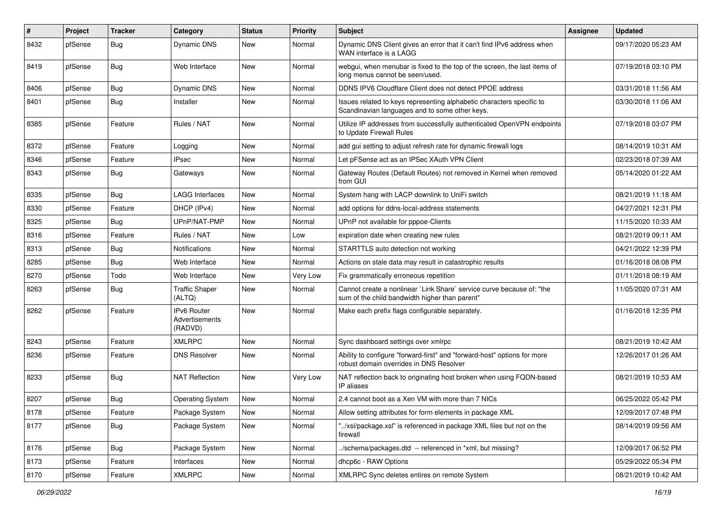| $\vert$ # | Project | <b>Tracker</b> | Category                                        | <b>Status</b> | <b>Priority</b> | Subject                                                                                                                 | <b>Assignee</b> | <b>Updated</b>      |
|-----------|---------|----------------|-------------------------------------------------|---------------|-----------------|-------------------------------------------------------------------------------------------------------------------------|-----------------|---------------------|
| 8432      | pfSense | Bug            | Dynamic DNS                                     | New           | Normal          | Dynamic DNS Client gives an error that it can't find IPv6 address when<br>WAN interface is a LAGG                       |                 | 09/17/2020 05:23 AM |
| 8419      | pfSense | Bug            | Web Interface                                   | New           | Normal          | webgui, when menubar is fixed to the top of the screen, the last items of<br>long menus cannot be seen/used.            |                 | 07/19/2018 03:10 PM |
| 8406      | pfSense | Bug            | Dynamic DNS                                     | <b>New</b>    | Normal          | DDNS IPV6 Cloudflare Client does not detect PPOE address                                                                |                 | 03/31/2018 11:56 AM |
| 8401      | pfSense | Bug            | Installer                                       | New           | Normal          | Issues related to keys representing alphabetic characters specific to<br>Scandinavian languages and to some other keys. |                 | 03/30/2018 11:06 AM |
| 8385      | pfSense | Feature        | Rules / NAT                                     | <b>New</b>    | Normal          | Utilize IP addresses from successfully authenticated OpenVPN endpoints<br>to Update Firewall Rules                      |                 | 07/19/2018 03:07 PM |
| 8372      | pfSense | Feature        | Logging                                         | <b>New</b>    | Normal          | add gui setting to adjust refresh rate for dynamic firewall logs                                                        |                 | 08/14/2019 10:31 AM |
| 8346      | pfSense | Feature        | <b>IPsec</b>                                    | New           | Normal          | Let pFSense act as an IPSec XAuth VPN Client                                                                            |                 | 02/23/2018 07:39 AM |
| 8343      | pfSense | <b>Bug</b>     | Gateways                                        | <b>New</b>    | Normal          | Gateway Routes (Default Routes) not removed in Kernel when removed<br>from GUI                                          |                 | 05/14/2020 01:22 AM |
| 8335      | pfSense | Bug            | <b>LAGG Interfaces</b>                          | New           | Normal          | System hang with LACP downlink to UniFi switch                                                                          |                 | 08/21/2019 11:18 AM |
| 8330      | pfSense | Feature        | DHCP (IPv4)                                     | New           | Normal          | add options for ddns-local-address statements                                                                           |                 | 04/27/2021 12:31 PM |
| 8325      | pfSense | Bug            | UPnP/NAT-PMP                                    | <b>New</b>    | Normal          | UPnP not available for pppoe-Clients                                                                                    |                 | 11/15/2020 10:33 AM |
| 8316      | pfSense | Feature        | Rules / NAT                                     | New           | Low             | expiration date when creating new rules                                                                                 |                 | 08/21/2019 09:11 AM |
| 8313      | pfSense | Bug            | <b>Notifications</b>                            | <b>New</b>    | Normal          | STARTTLS auto detection not working                                                                                     |                 | 04/21/2022 12:39 PM |
| 8285      | pfSense | Bug            | Web Interface                                   | New           | Normal          | Actions on stale data may result in catastrophic results                                                                |                 | 01/16/2018 08:08 PM |
| 8270      | pfSense | Todo           | Web Interface                                   | New           | Very Low        | Fix grammatically erroneous repetition                                                                                  |                 | 01/11/2018 08:19 AM |
| 8263      | pfSense | Bug            | <b>Traffic Shaper</b><br>(ALTQ)                 | New           | Normal          | Cannot create a nonlinear `Link Share` service curve because of: "the<br>sum of the child bandwidth higher than parent" |                 | 11/05/2020 07:31 AM |
| 8262      | pfSense | Feature        | <b>IPv6 Router</b><br>Advertisements<br>(RADVD) | New           | Normal          | Make each prefix flags configurable separately.                                                                         |                 | 01/16/2018 12:35 PM |
| 8243      | pfSense | Feature        | <b>XMLRPC</b>                                   | <b>New</b>    | Normal          | Sync dashboard settings over xmlrpc                                                                                     |                 | 08/21/2019 10:42 AM |
| 8236      | pfSense | Feature        | <b>DNS Resolver</b>                             | New           | Normal          | Ability to configure "forward-first" and "forward-host" options for more<br>robust domain overrides in DNS Resolver     |                 | 12/26/2017 01:26 AM |
| 8233      | pfSense | Bug            | <b>NAT Reflection</b>                           | New           | Very Low        | NAT reflection back to originating host broken when using FQDN-based<br>IP aliases                                      |                 | 08/21/2019 10:53 AM |
| 8207      | pfSense | Bug            | <b>Operating System</b>                         | New           | Normal          | 2.4 cannot boot as a Xen VM with more than 7 NICs                                                                       |                 | 06/25/2022 05:42 PM |
| 8178      | pfSense | Feature        | Package System                                  | New           | Normal          | Allow setting attributes for form elements in package XML                                                               |                 | 12/09/2017 07:48 PM |
| 8177      | pfSense | <b>Bug</b>     | Package System                                  | New           | Normal          | "/xsl/package.xsl" is referenced in package XML files but not on the<br>firewall                                        |                 | 08/14/2019 09:56 AM |
| 8176      | pfSense | <b>Bug</b>     | Package System                                  | New           | Normal          | ./schema/packages.dtd -- referenced in *xml, but missing?                                                               |                 | 12/09/2017 06:52 PM |
| 8173      | pfSense | Feature        | Interfaces                                      | New           | Normal          | dhcp6c - RAW Options                                                                                                    |                 | 05/29/2022 05:34 PM |
| 8170      | pfSense | Feature        | XMLRPC                                          | New           | Normal          | XMLRPC Sync deletes entires on remote System                                                                            |                 | 08/21/2019 10:42 AM |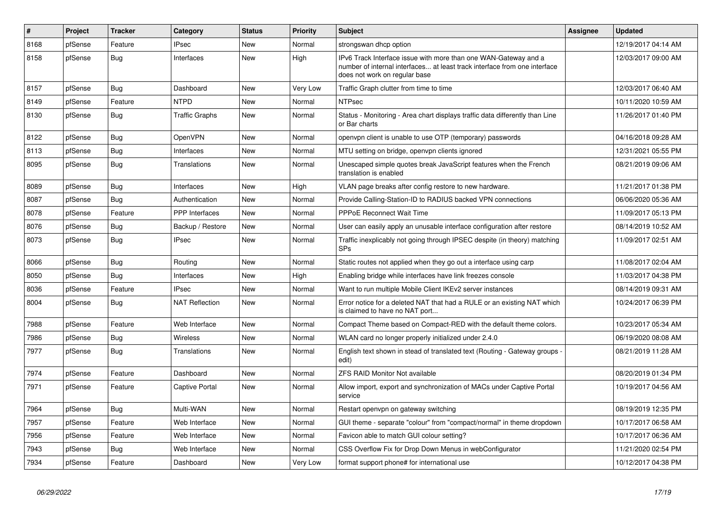| #    | Project | <b>Tracker</b> | Category              | <b>Status</b> | Priority | <b>Subject</b>                                                                                                                                                                | Assignee | <b>Updated</b>      |
|------|---------|----------------|-----------------------|---------------|----------|-------------------------------------------------------------------------------------------------------------------------------------------------------------------------------|----------|---------------------|
| 8168 | pfSense | Feature        | <b>IPsec</b>          | <b>New</b>    | Normal   | strongswan dhcp option                                                                                                                                                        |          | 12/19/2017 04:14 AM |
| 8158 | pfSense | <b>Bug</b>     | Interfaces            | <b>New</b>    | High     | IPv6 Track Interface issue with more than one WAN-Gateway and a<br>number of internal interfaces at least track interface from one interface<br>does not work on regular base |          | 12/03/2017 09:00 AM |
| 8157 | pfSense | <b>Bug</b>     | Dashboard             | <b>New</b>    | Very Low | Traffic Graph clutter from time to time                                                                                                                                       |          | 12/03/2017 06:40 AM |
| 8149 | pfSense | Feature        | <b>NTPD</b>           | New           | Normal   | <b>NTPsec</b>                                                                                                                                                                 |          | 10/11/2020 10:59 AM |
| 8130 | pfSense | <b>Bug</b>     | <b>Traffic Graphs</b> | <b>New</b>    | Normal   | Status - Monitoring - Area chart displays traffic data differently than Line<br>or Bar charts                                                                                 |          | 11/26/2017 01:40 PM |
| 8122 | pfSense | Bug            | OpenVPN               | <b>New</b>    | Normal   | openvpn client is unable to use OTP (temporary) passwords                                                                                                                     |          | 04/16/2018 09:28 AM |
| 8113 | pfSense | <b>Bug</b>     | Interfaces            | <b>New</b>    | Normal   | MTU setting on bridge, openvpn clients ignored                                                                                                                                |          | 12/31/2021 05:55 PM |
| 8095 | pfSense | Bug            | Translations          | <b>New</b>    | Normal   | Unescaped simple quotes break JavaScript features when the French<br>translation is enabled                                                                                   |          | 08/21/2019 09:06 AM |
| 8089 | pfSense | <b>Bug</b>     | Interfaces            | <b>New</b>    | High     | VLAN page breaks after config restore to new hardware.                                                                                                                        |          | 11/21/2017 01:38 PM |
| 8087 | pfSense | Bug            | Authentication        | <b>New</b>    | Normal   | Provide Calling-Station-ID to RADIUS backed VPN connections                                                                                                                   |          | 06/06/2020 05:36 AM |
| 8078 | pfSense | Feature        | PPP Interfaces        | New           | Normal   | PPPoE Reconnect Wait Time                                                                                                                                                     |          | 11/09/2017 05:13 PM |
| 8076 | pfSense | <b>Bug</b>     | Backup / Restore      | <b>New</b>    | Normal   | User can easily apply an unusable interface configuration after restore                                                                                                       |          | 08/14/2019 10:52 AM |
| 8073 | pfSense | Bug            | <b>IPsec</b>          | <b>New</b>    | Normal   | Traffic inexplicably not going through IPSEC despite (in theory) matching<br><b>SPs</b>                                                                                       |          | 11/09/2017 02:51 AM |
| 8066 | pfSense | Bug            | Routing               | <b>New</b>    | Normal   | Static routes not applied when they go out a interface using carp                                                                                                             |          | 11/08/2017 02:04 AM |
| 8050 | pfSense | Bug            | Interfaces            | <b>New</b>    | High     | Enabling bridge while interfaces have link freezes console                                                                                                                    |          | 11/03/2017 04:38 PM |
| 8036 | pfSense | Feature        | <b>IPsec</b>          | <b>New</b>    | Normal   | Want to run multiple Mobile Client IKEv2 server instances                                                                                                                     |          | 08/14/2019 09:31 AM |
| 8004 | pfSense | <b>Bug</b>     | <b>NAT Reflection</b> | <b>New</b>    | Normal   | Error notice for a deleted NAT that had a RULE or an existing NAT which<br>is claimed to have no NAT port                                                                     |          | 10/24/2017 06:39 PM |
| 7988 | pfSense | Feature        | Web Interface         | <b>New</b>    | Normal   | Compact Theme based on Compact-RED with the default theme colors.                                                                                                             |          | 10/23/2017 05:34 AM |
| 7986 | pfSense | <b>Bug</b>     | <b>Wireless</b>       | <b>New</b>    | Normal   | WLAN card no longer properly initialized under 2.4.0                                                                                                                          |          | 06/19/2020 08:08 AM |
| 7977 | pfSense | Bug            | Translations          | <b>New</b>    | Normal   | English text shown in stead of translated text (Routing - Gateway groups -<br>edit)                                                                                           |          | 08/21/2019 11:28 AM |
| 7974 | pfSense | Feature        | Dashboard             | <b>New</b>    | Normal   | <b>ZFS RAID Monitor Not available</b>                                                                                                                                         |          | 08/20/2019 01:34 PM |
| 7971 | pfSense | Feature        | Captive Portal        | New           | Normal   | Allow import, export and synchronization of MACs under Captive Portal<br>service                                                                                              |          | 10/19/2017 04:56 AM |
| 7964 | pfSense | <b>Bug</b>     | Multi-WAN             | <b>New</b>    | Normal   | Restart openvpn on gateway switching                                                                                                                                          |          | 08/19/2019 12:35 PM |
| 7957 | pfSense | Feature        | Web Interface         | New           | Normal   | GUI theme - separate "colour" from "compact/normal" in theme dropdown                                                                                                         |          | 10/17/2017 06:58 AM |
| 7956 | pfSense | Feature        | Web Interface         | <b>New</b>    | Normal   | Favicon able to match GUI colour setting?                                                                                                                                     |          | 10/17/2017 06:36 AM |
| 7943 | pfSense | Bug            | Web Interface         | New           | Normal   | CSS Overflow Fix for Drop Down Menus in webConfigurator                                                                                                                       |          | 11/21/2020 02:54 PM |
| 7934 | pfSense | Feature        | Dashboard             | New           | Very Low | format support phone# for international use                                                                                                                                   |          | 10/12/2017 04:38 PM |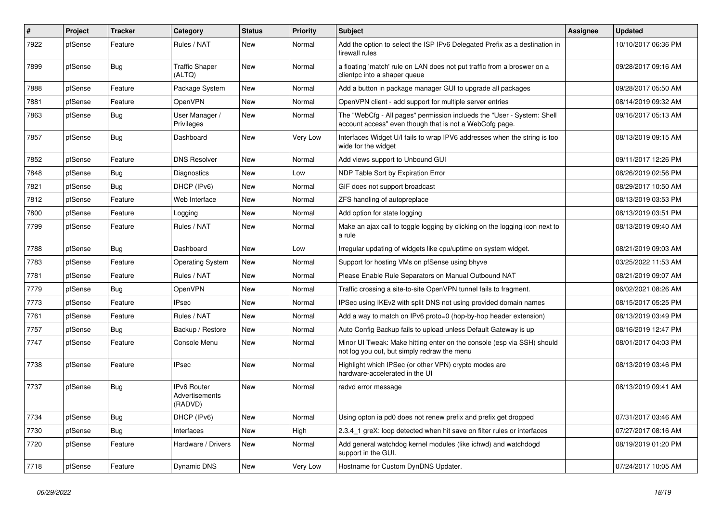| $\#$ | Project | <b>Tracker</b> | Category                                        | <b>Status</b> | <b>Priority</b> | <b>Subject</b>                                                                                                                    | Assignee | <b>Updated</b>      |
|------|---------|----------------|-------------------------------------------------|---------------|-----------------|-----------------------------------------------------------------------------------------------------------------------------------|----------|---------------------|
| 7922 | pfSense | Feature        | Rules / NAT                                     | <b>New</b>    | Normal          | Add the option to select the ISP IPv6 Delegated Prefix as a destination in<br>firewall rules                                      |          | 10/10/2017 06:36 PM |
| 7899 | pfSense | Bug            | <b>Traffic Shaper</b><br>(ALTQ)                 | <b>New</b>    | Normal          | a floating 'match' rule on LAN does not put traffic from a broswer on a<br>clientpc into a shaper queue                           |          | 09/28/2017 09:16 AM |
| 7888 | pfSense | Feature        | Package System                                  | <b>New</b>    | Normal          | Add a button in package manager GUI to upgrade all packages                                                                       |          | 09/28/2017 05:50 AM |
| 7881 | pfSense | Feature        | OpenVPN                                         | <b>New</b>    | Normal          | OpenVPN client - add support for multiple server entries                                                                          |          | 08/14/2019 09:32 AM |
| 7863 | pfSense | <b>Bug</b>     | User Manager /<br>Privileges                    | New           | Normal          | The "WebCfg - All pages" permission inclueds the "User - System: Shell<br>account access" even though that is not a WebCofg page. |          | 09/16/2017 05:13 AM |
| 7857 | pfSense | <b>Bug</b>     | Dashboard                                       | <b>New</b>    | Very Low        | Interfaces Widget U/I fails to wrap IPV6 addresses when the string is too<br>wide for the widget                                  |          | 08/13/2019 09:15 AM |
| 7852 | pfSense | Feature        | <b>DNS Resolver</b>                             | <b>New</b>    | Normal          | Add views support to Unbound GUI                                                                                                  |          | 09/11/2017 12:26 PM |
| 7848 | pfSense | <b>Bug</b>     | Diagnostics                                     | <b>New</b>    | Low             | NDP Table Sort by Expiration Error                                                                                                |          | 08/26/2019 02:56 PM |
| 7821 | pfSense | Bug            | DHCP (IPv6)                                     | <b>New</b>    | Normal          | GIF does not support broadcast                                                                                                    |          | 08/29/2017 10:50 AM |
| 7812 | pfSense | Feature        | Web Interface                                   | <b>New</b>    | Normal          | ZFS handling of autopreplace                                                                                                      |          | 08/13/2019 03:53 PM |
| 7800 | pfSense | Feature        | Logging                                         | <b>New</b>    | Normal          | Add option for state logging                                                                                                      |          | 08/13/2019 03:51 PM |
| 7799 | pfSense | Feature        | Rules / NAT                                     | New           | Normal          | Make an ajax call to toggle logging by clicking on the logging icon next to<br>a rule                                             |          | 08/13/2019 09:40 AM |
| 7788 | pfSense | Bug            | Dashboard                                       | New           | Low             | Irregular updating of widgets like cpu/uptime on system widget.                                                                   |          | 08/21/2019 09:03 AM |
| 7783 | pfSense | Feature        | <b>Operating System</b>                         | New           | Normal          | Support for hosting VMs on pfSense using bhyve                                                                                    |          | 03/25/2022 11:53 AM |
| 7781 | pfSense | Feature        | Rules / NAT                                     | New           | Normal          | Please Enable Rule Separators on Manual Outbound NAT                                                                              |          | 08/21/2019 09:07 AM |
| 7779 | pfSense | <b>Bug</b>     | OpenVPN                                         | New           | Normal          | Traffic crossing a site-to-site OpenVPN tunnel fails to fragment.                                                                 |          | 06/02/2021 08:26 AM |
| 7773 | pfSense | Feature        | <b>IPsec</b>                                    | New           | Normal          | IPSec using IKEv2 with split DNS not using provided domain names                                                                  |          | 08/15/2017 05:25 PM |
| 7761 | pfSense | Feature        | Rules / NAT                                     | New           | Normal          | Add a way to match on IPv6 proto=0 (hop-by-hop header extension)                                                                  |          | 08/13/2019 03:49 PM |
| 7757 | pfSense | Bug            | Backup / Restore                                | New           | Normal          | Auto Config Backup fails to upload unless Default Gateway is up                                                                   |          | 08/16/2019 12:47 PM |
| 7747 | pfSense | Feature        | Console Menu                                    | <b>New</b>    | Normal          | Minor UI Tweak: Make hitting enter on the console (esp via SSH) should<br>not log you out, but simply redraw the menu             |          | 08/01/2017 04:03 PM |
| 7738 | pfSense | Feature        | <b>IPsec</b>                                    | <b>New</b>    | Normal          | Highlight which IPSec (or other VPN) crypto modes are<br>hardware-accelerated in the UI                                           |          | 08/13/2019 03:46 PM |
| 7737 | pfSense | <b>Bug</b>     | <b>IPv6 Router</b><br>Advertisements<br>(RADVD) | New           | Normal          | radvd error message                                                                                                               |          | 08/13/2019 09:41 AM |
| 7734 | pfSense | Bug            | DHCP (IPv6)                                     | <b>New</b>    | Normal          | Using opton ia pd0 does not renew prefix and prefix get dropped                                                                   |          | 07/31/2017 03:46 AM |
| 7730 | pfSense | <b>Bug</b>     | Interfaces                                      | New           | High            | 2.3.4 1 greX: loop detected when hit save on filter rules or interfaces                                                           |          | 07/27/2017 08:16 AM |
| 7720 | pfSense | Feature        | Hardware / Drivers                              | New           | Normal          | Add general watchdog kernel modules (like ichwd) and watchdogd<br>support in the GUI.                                             |          | 08/19/2019 01:20 PM |
| 7718 | pfSense | Feature        | Dynamic DNS                                     | New           | Very Low        | Hostname for Custom DynDNS Updater.                                                                                               |          | 07/24/2017 10:05 AM |